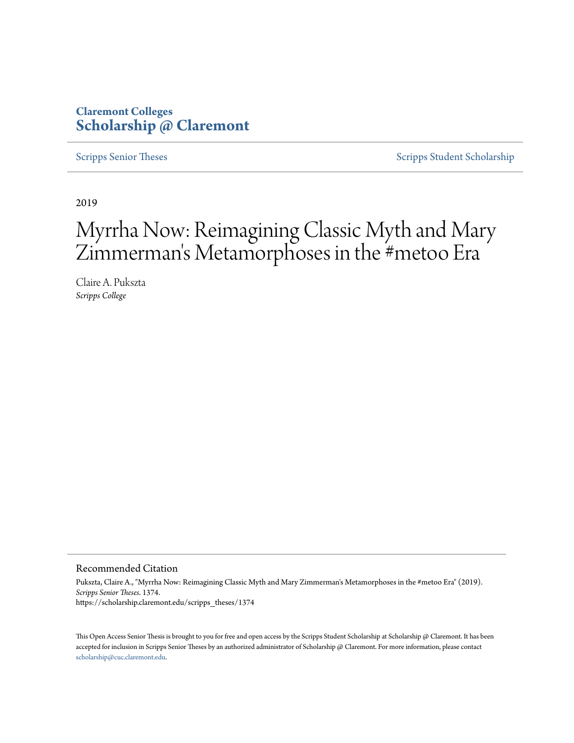# **Claremont Colleges [Scholarship @ Claremont](https://scholarship.claremont.edu)**

[Scripps Senior Theses](https://scholarship.claremont.edu/scripps_theses) [Scripps Student Scholarship](https://scholarship.claremont.edu/scripps_student)

2019

# Myrrha Now: Reimagining Classic Myth and Mary Zimmerman 's Metamorphoses in the #metoo Era

Claire A. Pukszta *Scripps College*

### Recommended Citation

Pukszta, Claire A., "Myrrha Now: Reimagining Classic Myth and Mary Zimmerman's Metamorphoses in the #metoo Era" (2019). *Scripps Senior Theses*. 1374. https://scholarship.claremont.edu/scripps\_theses/1374

This Open Access Senior Thesis is brought to you for free and open access by the Scripps Student Scholarship at Scholarship @ Claremont. It has been accepted for inclusion in Scripps Senior Theses by an authorized administrator of Scholarship @ Claremont. For more information, please contact [scholarship@cuc.claremont.edu.](mailto:scholarship@cuc.claremont.edu)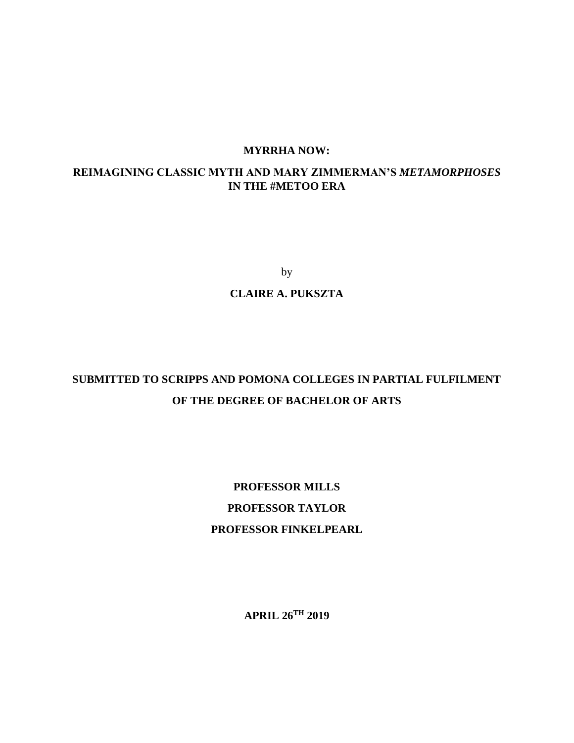# **MYRRHA NOW:**

# <span id="page-1-0"></span>**REIMAGINING CLASSIC MYTH AND MARY ZIMMERMAN'S** *METAMORPHOSES* **IN THE #METOO ERA**

by

# **CLAIRE A. PUKSZTA**

# **SUBMITTED TO SCRIPPS AND POMONA COLLEGES IN PARTIAL FULFILMENT OF THE DEGREE OF BACHELOR OF ARTS**

# **PROFESSOR MILLS PROFESSOR TAYLOR PROFESSOR FINKELPEARL**

**APRIL 26TH 2019**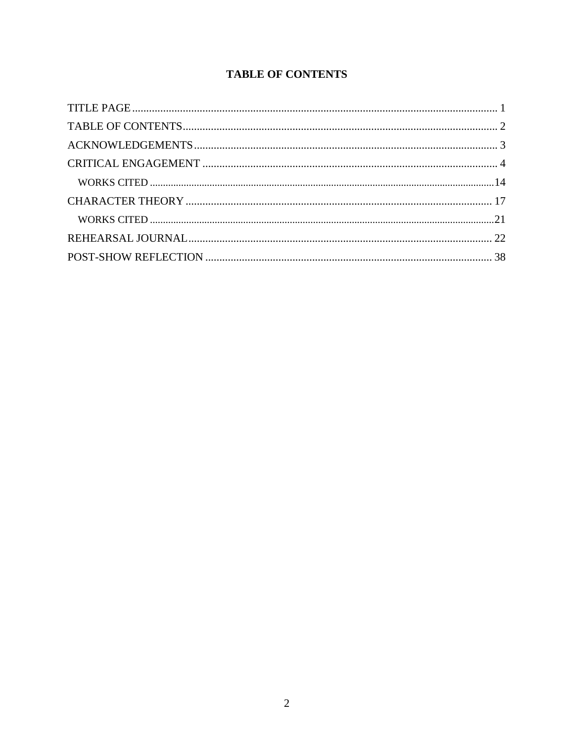# **TABLE OF CONTENTS**

<span id="page-2-0"></span>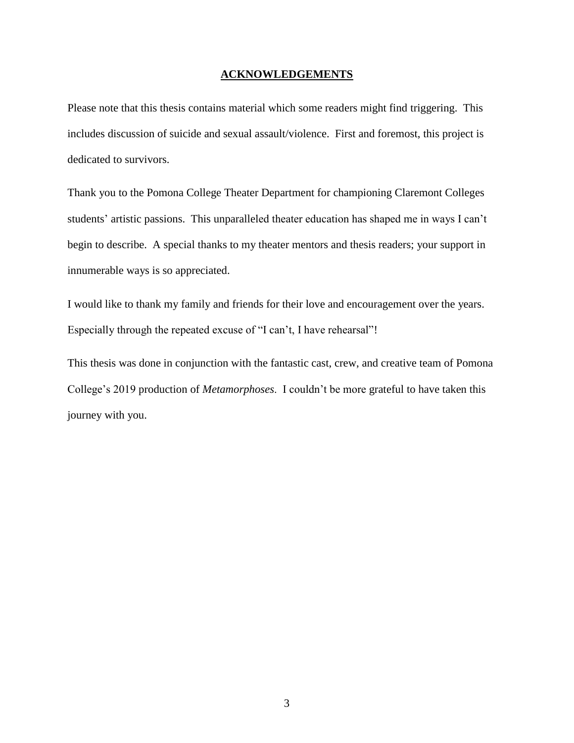# **ACKNOWLEDGEMENTS**

<span id="page-3-0"></span>Please note that this thesis contains material which some readers might find triggering. This includes discussion of suicide and sexual assault/violence. First and foremost, this project is dedicated to survivors.

Thank you to the Pomona College Theater Department for championing Claremont Colleges students' artistic passions. This unparalleled theater education has shaped me in ways I can't begin to describe. A special thanks to my theater mentors and thesis readers; your support in innumerable ways is so appreciated.

I would like to thank my family and friends for their love and encouragement over the years. Especially through the repeated excuse of "I can't, I have rehearsal"!

This thesis was done in conjunction with the fantastic cast, crew, and creative team of Pomona College's 2019 production of *Metamorphoses*. I couldn't be more grateful to have taken this journey with you.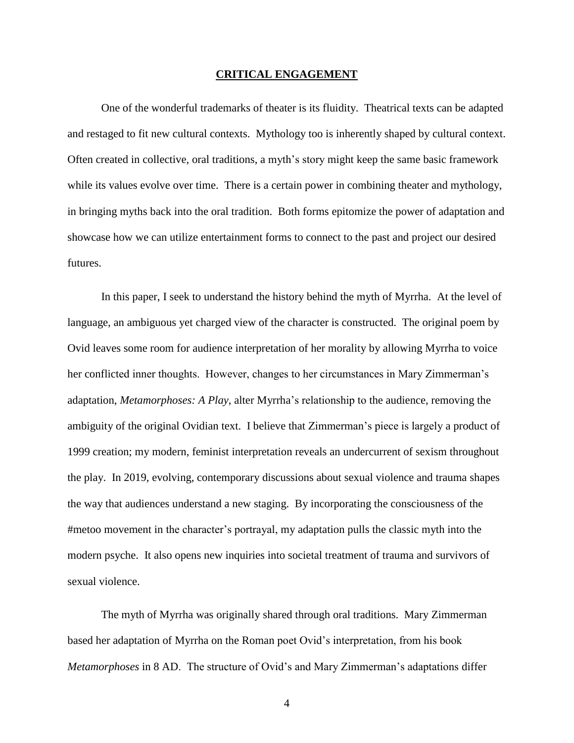#### **CRITICAL ENGAGEMENT**

<span id="page-4-0"></span>One of the wonderful trademarks of theater is its fluidity. Theatrical texts can be adapted and restaged to fit new cultural contexts. Mythology too is inherently shaped by cultural context. Often created in collective, oral traditions, a myth's story might keep the same basic framework while its values evolve over time. There is a certain power in combining theater and mythology, in bringing myths back into the oral tradition. Both forms epitomize the power of adaptation and showcase how we can utilize entertainment forms to connect to the past and project our desired futures.

In this paper, I seek to understand the history behind the myth of Myrrha. At the level of language, an ambiguous yet charged view of the character is constructed. The original poem by Ovid leaves some room for audience interpretation of her morality by allowing Myrrha to voice her conflicted inner thoughts. However, changes to her circumstances in Mary Zimmerman's adaptation, *Metamorphoses: A Play*, alter Myrrha's relationship to the audience, removing the ambiguity of the original Ovidian text. I believe that Zimmerman's piece is largely a product of 1999 creation; my modern, feminist interpretation reveals an undercurrent of sexism throughout the play. In 2019, evolving, contemporary discussions about sexual violence and trauma shapes the way that audiences understand a new staging. By incorporating the consciousness of the #metoo movement in the character's portrayal, my adaptation pulls the classic myth into the modern psyche. It also opens new inquiries into societal treatment of trauma and survivors of sexual violence.

The myth of Myrrha was originally shared through oral traditions. Mary Zimmerman based her adaptation of Myrrha on the Roman poet Ovid's interpretation, from his book *Metamorphoses* in 8 AD. The structure of Ovid's and Mary Zimmerman's adaptations differ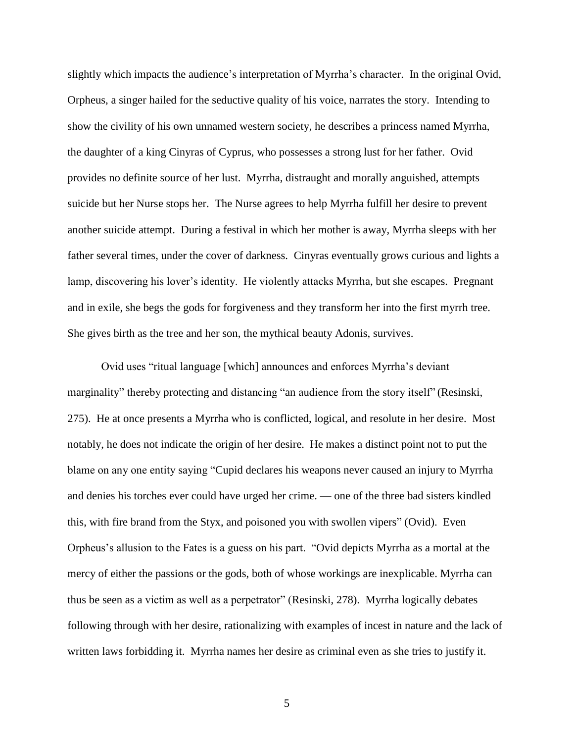slightly which impacts the audience's interpretation of Myrrha's character. In the original Ovid, Orpheus, a singer hailed for the seductive quality of his voice, narrates the story. Intending to show the civility of his own unnamed western society, he describes a princess named Myrrha, the daughter of a king Cinyras of Cyprus, who possesses a strong lust for her father. Ovid provides no definite source of her lust. Myrrha, distraught and morally anguished, attempts suicide but her Nurse stops her. The Nurse agrees to help Myrrha fulfill her desire to prevent another suicide attempt. During a festival in which her mother is away, Myrrha sleeps with her father several times, under the cover of darkness. Cinyras eventually grows curious and lights a lamp, discovering his lover's identity. He violently attacks Myrrha, but she escapes. Pregnant and in exile, she begs the gods for forgiveness and they transform her into the first myrrh tree. She gives birth as the tree and her son, the mythical beauty Adonis, survives.

Ovid uses "ritual language [which] announces and enforces Myrrha's deviant marginality" thereby protecting and distancing "an audience from the story itself" (Resinski, 275). He at once presents a Myrrha who is conflicted, logical, and resolute in her desire. Most notably, he does not indicate the origin of her desire. He makes a distinct point not to put the blame on any one entity saying "Cupid declares his weapons never caused an injury to Myrrha and denies his torches ever could have urged her crime. — one of the three bad sisters kindled this, with fire brand from the Styx, and poisoned you with swollen vipers" (Ovid). Even Orpheus's allusion to the Fates is a guess on his part. "Ovid depicts Myrrha as a mortal at the mercy of either the passions or the gods, both of whose workings are inexplicable. Myrrha can thus be seen as a victim as well as a perpetrator" (Resinski, 278). Myrrha logically debates following through with her desire, rationalizing with examples of incest in nature and the lack of written laws forbidding it. Myrrha names her desire as criminal even as she tries to justify it.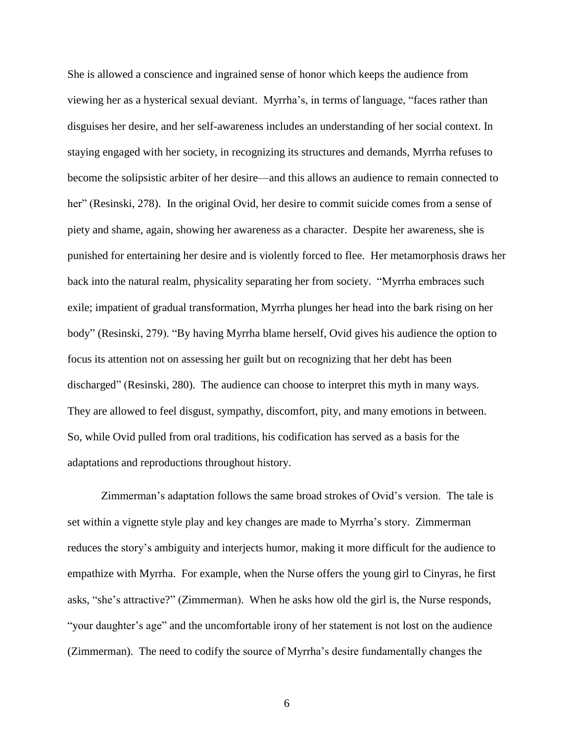She is allowed a conscience and ingrained sense of honor which keeps the audience from viewing her as a hysterical sexual deviant. Myrrha's, in terms of language, "faces rather than disguises her desire, and her self-awareness includes an understanding of her social context. In staying engaged with her society, in recognizing its structures and demands, Myrrha refuses to become the solipsistic arbiter of her desire—and this allows an audience to remain connected to her" (Resinski, 278). In the original Ovid, her desire to commit suicide comes from a sense of piety and shame, again, showing her awareness as a character. Despite her awareness, she is punished for entertaining her desire and is violently forced to flee. Her metamorphosis draws her back into the natural realm, physicality separating her from society. "Myrrha embraces such exile; impatient of gradual transformation, Myrrha plunges her head into the bark rising on her body" (Resinski, 279). "By having Myrrha blame herself, Ovid gives his audience the option to focus its attention not on assessing her guilt but on recognizing that her debt has been discharged" (Resinski, 280). The audience can choose to interpret this myth in many ways. They are allowed to feel disgust, sympathy, discomfort, pity, and many emotions in between. So, while Ovid pulled from oral traditions, his codification has served as a basis for the adaptations and reproductions throughout history.

Zimmerman's adaptation follows the same broad strokes of Ovid's version. The tale is set within a vignette style play and key changes are made to Myrrha's story. Zimmerman reduces the story's ambiguity and interjects humor, making it more difficult for the audience to empathize with Myrrha. For example, when the Nurse offers the young girl to Cinyras, he first asks, "she's attractive?" (Zimmerman). When he asks how old the girl is, the Nurse responds, "your daughter's age" and the uncomfortable irony of her statement is not lost on the audience (Zimmerman). The need to codify the source of Myrrha's desire fundamentally changes the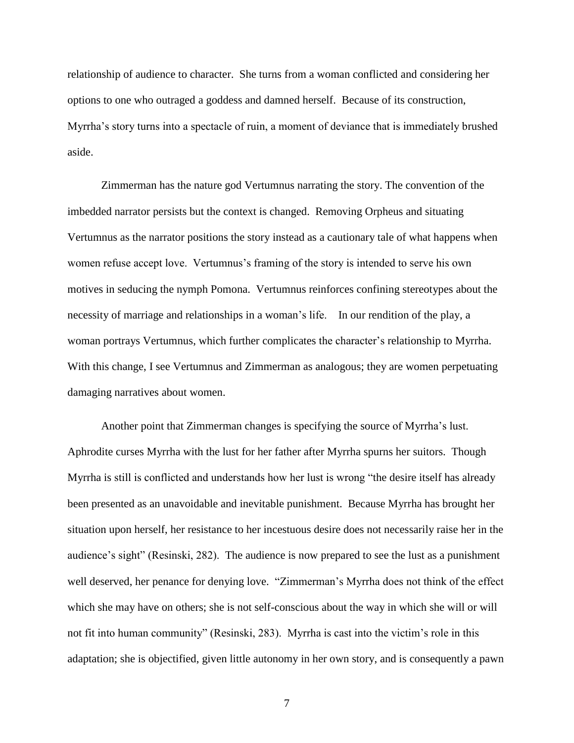relationship of audience to character. She turns from a woman conflicted and considering her options to one who outraged a goddess and damned herself. Because of its construction, Myrrha's story turns into a spectacle of ruin, a moment of deviance that is immediately brushed aside.

Zimmerman has the nature god Vertumnus narrating the story. The convention of the imbedded narrator persists but the context is changed. Removing Orpheus and situating Vertumnus as the narrator positions the story instead as a cautionary tale of what happens when women refuse accept love. Vertumnus's framing of the story is intended to serve his own motives in seducing the nymph Pomona. Vertumnus reinforces confining stereotypes about the necessity of marriage and relationships in a woman's life. In our rendition of the play, a woman portrays Vertumnus, which further complicates the character's relationship to Myrrha. With this change, I see Vertumnus and Zimmerman as analogous; they are women perpetuating damaging narratives about women.

Another point that Zimmerman changes is specifying the source of Myrrha's lust. Aphrodite curses Myrrha with the lust for her father after Myrrha spurns her suitors. Though Myrrha is still is conflicted and understands how her lust is wrong "the desire itself has already been presented as an unavoidable and inevitable punishment. Because Myrrha has brought her situation upon herself, her resistance to her incestuous desire does not necessarily raise her in the audience's sight" (Resinski, 282). The audience is now prepared to see the lust as a punishment well deserved, her penance for denying love. "Zimmerman's Myrrha does not think of the effect which she may have on others; she is not self-conscious about the way in which she will or will not fit into human community" (Resinski, 283). Myrrha is cast into the victim's role in this adaptation; she is objectified, given little autonomy in her own story, and is consequently a pawn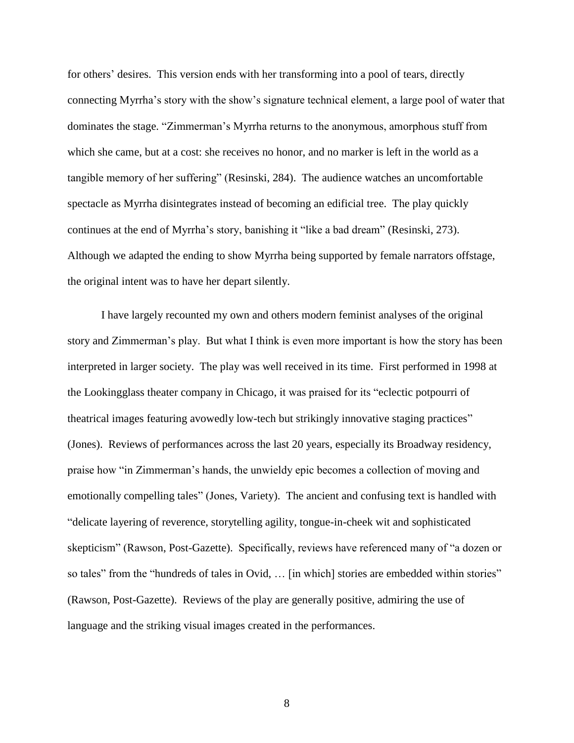for others' desires. This version ends with her transforming into a pool of tears, directly connecting Myrrha's story with the show's signature technical element, a large pool of water that dominates the stage. "Zimmerman's Myrrha returns to the anonymous, amorphous stuff from which she came, but at a cost: she receives no honor, and no marker is left in the world as a tangible memory of her suffering" (Resinski, 284). The audience watches an uncomfortable spectacle as Myrrha disintegrates instead of becoming an edificial tree. The play quickly continues at the end of Myrrha's story, banishing it "like a bad dream" (Resinski, 273). Although we adapted the ending to show Myrrha being supported by female narrators offstage, the original intent was to have her depart silently.

I have largely recounted my own and others modern feminist analyses of the original story and Zimmerman's play. But what I think is even more important is how the story has been interpreted in larger society. The play was well received in its time. First performed in 1998 at the Lookingglass theater company in Chicago, it was praised for its "eclectic potpourri of theatrical images featuring avowedly low-tech but strikingly innovative staging practices" (Jones). Reviews of performances across the last 20 years, especially its Broadway residency, praise how "in Zimmerman's hands, the unwieldy epic becomes a collection of moving and emotionally compelling tales" (Jones, Variety). The ancient and confusing text is handled with "delicate layering of reverence, storytelling agility, tongue-in-cheek wit and sophisticated skepticism" (Rawson, Post-Gazette). Specifically, reviews have referenced many of "a dozen or so tales" from the "hundreds of tales in Ovid, … [in which] stories are embedded within stories" (Rawson, Post-Gazette). Reviews of the play are generally positive, admiring the use of language and the striking visual images created in the performances.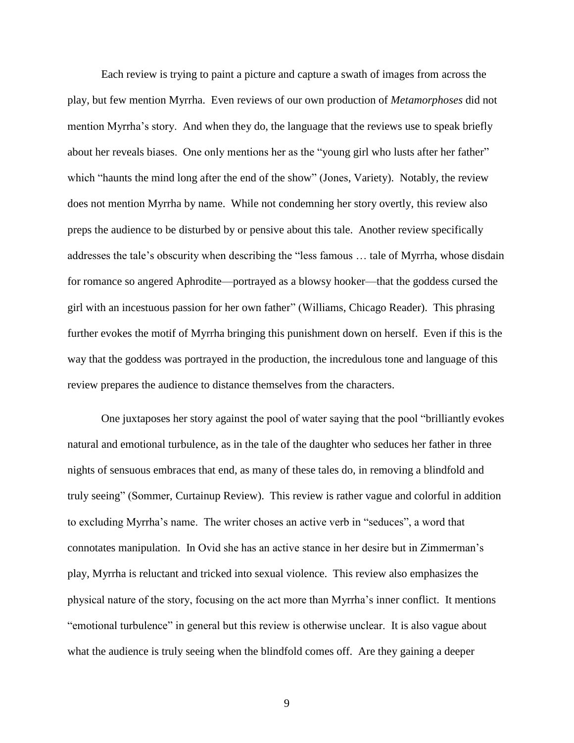Each review is trying to paint a picture and capture a swath of images from across the play, but few mention Myrrha. Even reviews of our own production of *Metamorphoses* did not mention Myrrha's story. And when they do, the language that the reviews use to speak briefly about her reveals biases. One only mentions her as the "young girl who lusts after her father" which "haunts the mind long after the end of the show" (Jones, Variety). Notably, the review does not mention Myrrha by name. While not condemning her story overtly, this review also preps the audience to be disturbed by or pensive about this tale. Another review specifically addresses the tale's obscurity when describing the "less famous … tale of Myrrha, whose disdain for romance so angered Aphrodite—portrayed as a blowsy hooker—that the goddess cursed the girl with an incestuous passion for her own father" (Williams, Chicago Reader). This phrasing further evokes the motif of Myrrha bringing this punishment down on herself. Even if this is the way that the goddess was portrayed in the production, the incredulous tone and language of this review prepares the audience to distance themselves from the characters.

One juxtaposes her story against the pool of water saying that the pool "brilliantly evokes natural and emotional turbulence, as in the tale of the daughter who seduces her father in three nights of sensuous embraces that end, as many of these tales do, in removing a blindfold and truly seeing" (Sommer, Curtainup Review). This review is rather vague and colorful in addition to excluding Myrrha's name. The writer choses an active verb in "seduces", a word that connotates manipulation. In Ovid she has an active stance in her desire but in Zimmerman's play, Myrrha is reluctant and tricked into sexual violence. This review also emphasizes the physical nature of the story, focusing on the act more than Myrrha's inner conflict. It mentions "emotional turbulence" in general but this review is otherwise unclear. It is also vague about what the audience is truly seeing when the blindfold comes off. Are they gaining a deeper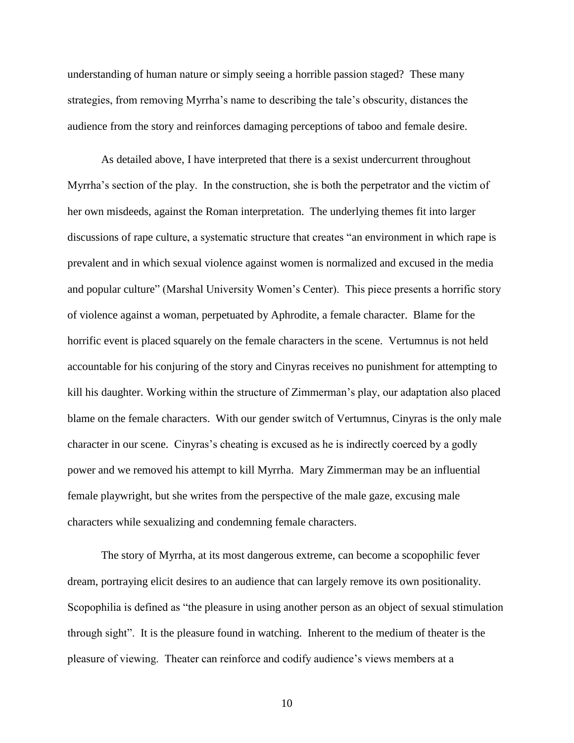understanding of human nature or simply seeing a horrible passion staged? These many strategies, from removing Myrrha's name to describing the tale's obscurity, distances the audience from the story and reinforces damaging perceptions of taboo and female desire.

As detailed above, I have interpreted that there is a sexist undercurrent throughout Myrrha's section of the play. In the construction, she is both the perpetrator and the victim of her own misdeeds, against the Roman interpretation. The underlying themes fit into larger discussions of rape culture, a systematic structure that creates "an environment in which rape is prevalent and in which sexual violence against women is normalized and excused in the media and popular culture" (Marshal University Women's Center). This piece presents a horrific story of violence against a woman, perpetuated by Aphrodite, a female character. Blame for the horrific event is placed squarely on the female characters in the scene. Vertumnus is not held accountable for his conjuring of the story and Cinyras receives no punishment for attempting to kill his daughter. Working within the structure of Zimmerman's play, our adaptation also placed blame on the female characters. With our gender switch of Vertumnus, Cinyras is the only male character in our scene. Cinyras's cheating is excused as he is indirectly coerced by a godly power and we removed his attempt to kill Myrrha. Mary Zimmerman may be an influential female playwright, but she writes from the perspective of the male gaze, excusing male characters while sexualizing and condemning female characters.

The story of Myrrha, at its most dangerous extreme, can become a scopophilic fever dream, portraying elicit desires to an audience that can largely remove its own positionality. Scopophilia is defined as "the pleasure in using another person as an object of sexual stimulation through sight". It is the pleasure found in watching. Inherent to the medium of theater is the pleasure of viewing. Theater can reinforce and codify audience's views members at a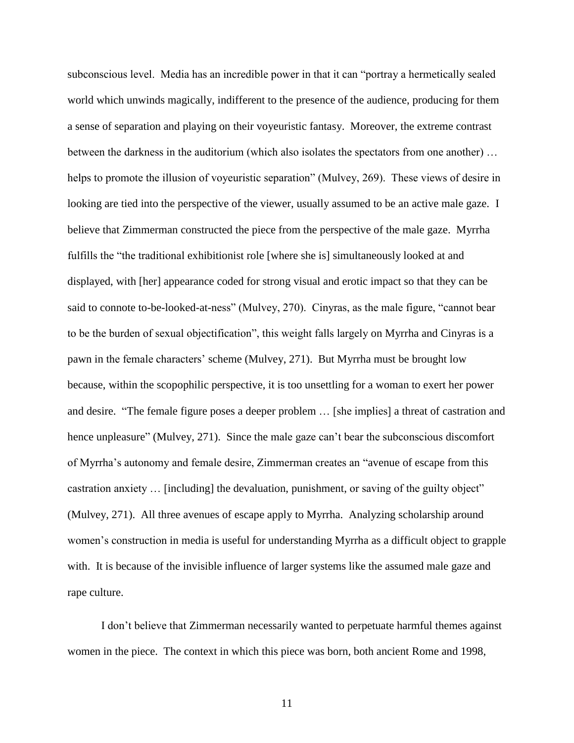subconscious level. Media has an incredible power in that it can "portray a hermetically sealed world which unwinds magically, indifferent to the presence of the audience, producing for them a sense of separation and playing on their voyeuristic fantasy. Moreover, the extreme contrast between the darkness in the auditorium (which also isolates the spectators from one another) … helps to promote the illusion of voyeuristic separation" (Mulvey, 269). These views of desire in looking are tied into the perspective of the viewer, usually assumed to be an active male gaze. I believe that Zimmerman constructed the piece from the perspective of the male gaze. Myrrha fulfills the "the traditional exhibitionist role [where she is] simultaneously looked at and displayed, with [her] appearance coded for strong visual and erotic impact so that they can be said to connote to-be-looked-at-ness" (Mulvey, 270). Cinyras, as the male figure, "cannot bear to be the burden of sexual objectification", this weight falls largely on Myrrha and Cinyras is a pawn in the female characters' scheme (Mulvey, 271). But Myrrha must be brought low because, within the scopophilic perspective, it is too unsettling for a woman to exert her power and desire. "The female figure poses a deeper problem … [she implies] a threat of castration and hence unpleasure" (Mulvey, 271). Since the male gaze can't bear the subconscious discomfort of Myrrha's autonomy and female desire, Zimmerman creates an "avenue of escape from this castration anxiety … [including] the devaluation, punishment, or saving of the guilty object" (Mulvey, 271). All three avenues of escape apply to Myrrha. Analyzing scholarship around women's construction in media is useful for understanding Myrrha as a difficult object to grapple with. It is because of the invisible influence of larger systems like the assumed male gaze and rape culture.

I don't believe that Zimmerman necessarily wanted to perpetuate harmful themes against women in the piece. The context in which this piece was born, both ancient Rome and 1998,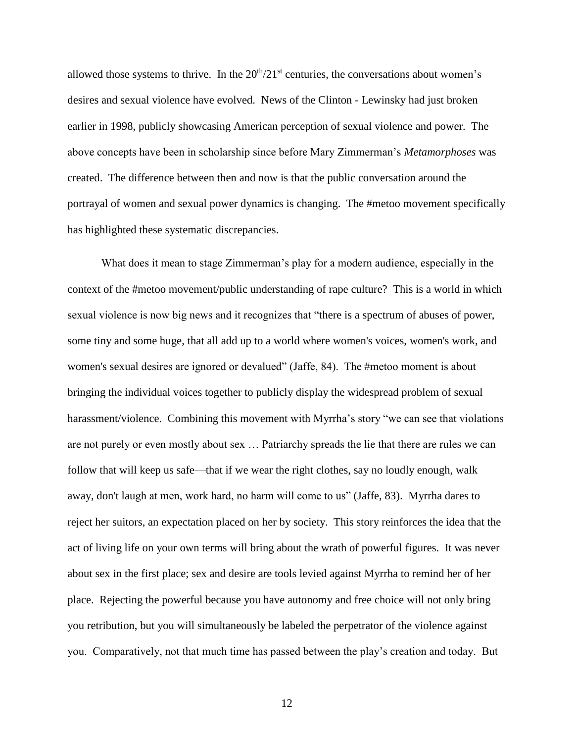allowed those systems to thrive. In the  $20<sup>th</sup>/21<sup>st</sup>$  centuries, the conversations about women's desires and sexual violence have evolved. News of the Clinton - Lewinsky had just broken earlier in 1998, publicly showcasing American perception of sexual violence and power. The above concepts have been in scholarship since before Mary Zimmerman's *Metamorphoses* was created. The difference between then and now is that the public conversation around the portrayal of women and sexual power dynamics is changing. The #metoo movement specifically has highlighted these systematic discrepancies.

What does it mean to stage Zimmerman's play for a modern audience, especially in the context of the #metoo movement/public understanding of rape culture? This is a world in which sexual violence is now big news and it recognizes that "there is a spectrum of abuses of power, some tiny and some huge, that all add up to a world where women's voices, women's work, and women's sexual desires are ignored or devalued" (Jaffe, 84). The #metoo moment is about bringing the individual voices together to publicly display the widespread problem of sexual harassment/violence. Combining this movement with Myrrha's story "we can see that violations are not purely or even mostly about sex … Patriarchy spreads the lie that there are rules we can follow that will keep us safe—that if we wear the right clothes, say no loudly enough, walk away, don't laugh at men, work hard, no harm will come to us" (Jaffe, 83). Myrrha dares to reject her suitors, an expectation placed on her by society. This story reinforces the idea that the act of living life on your own terms will bring about the wrath of powerful figures. It was never about sex in the first place; sex and desire are tools levied against Myrrha to remind her of her place. Rejecting the powerful because you have autonomy and free choice will not only bring you retribution, but you will simultaneously be labeled the perpetrator of the violence against you. Comparatively, not that much time has passed between the play's creation and today. But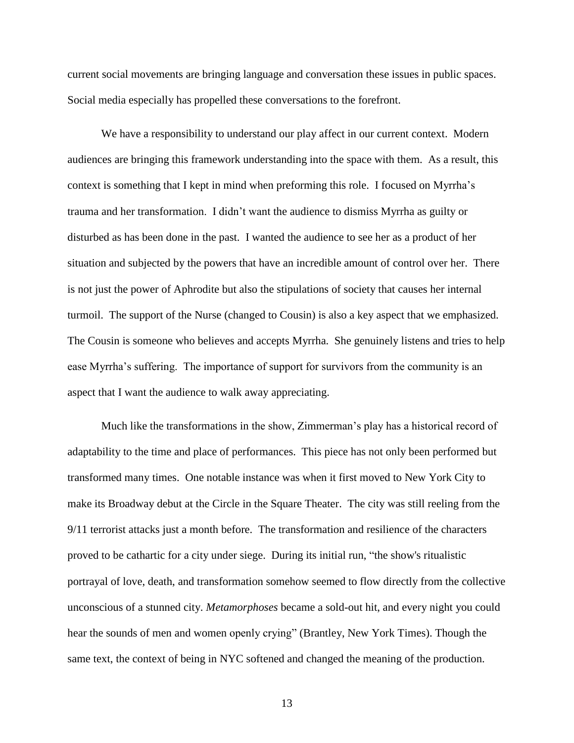current social movements are bringing language and conversation these issues in public spaces. Social media especially has propelled these conversations to the forefront.

We have a responsibility to understand our play affect in our current context. Modern audiences are bringing this framework understanding into the space with them. As a result, this context is something that I kept in mind when preforming this role. I focused on Myrrha's trauma and her transformation. I didn't want the audience to dismiss Myrrha as guilty or disturbed as has been done in the past. I wanted the audience to see her as a product of her situation and subjected by the powers that have an incredible amount of control over her. There is not just the power of Aphrodite but also the stipulations of society that causes her internal turmoil. The support of the Nurse (changed to Cousin) is also a key aspect that we emphasized. The Cousin is someone who believes and accepts Myrrha. She genuinely listens and tries to help ease Myrrha's suffering. The importance of support for survivors from the community is an aspect that I want the audience to walk away appreciating.

Much like the transformations in the show, Zimmerman's play has a historical record of adaptability to the time and place of performances. This piece has not only been performed but transformed many times. One notable instance was when it first moved to New York City to make its Broadway debut at the Circle in the Square Theater. The city was still reeling from the 9/11 terrorist attacks just a month before. The transformation and resilience of the characters proved to be cathartic for a city under siege. During its initial run, "the show's ritualistic portrayal of love, death, and transformation somehow seemed to flow directly from the collective unconscious of a stunned city. *Metamorphoses* became a sold-out hit, and every night you could hear the sounds of men and women openly crying" (Brantley, New York Times). Though the same text, the context of being in NYC softened and changed the meaning of the production.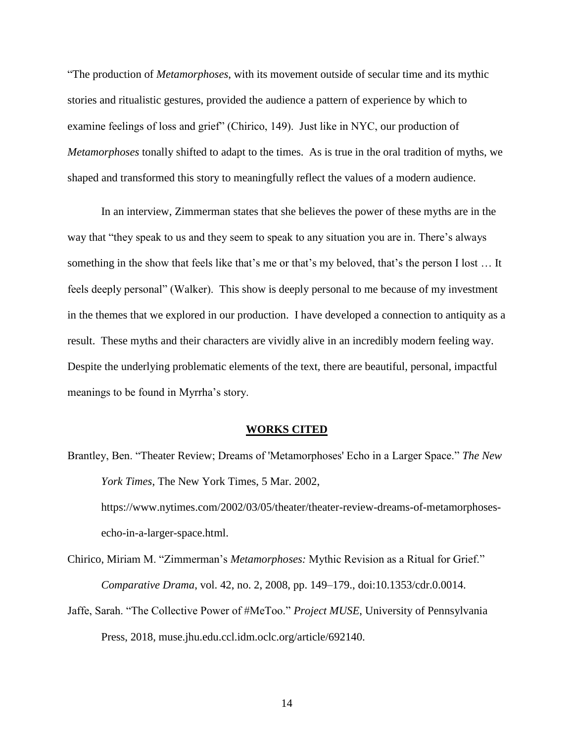"The production of *Metamorphoses*, with its movement outside of secular time and its mythic stories and ritualistic gestures, provided the audience a pattern of experience by which to examine feelings of loss and grief" (Chirico, 149). Just like in NYC, our production of *Metamorphoses* tonally shifted to adapt to the times. As is true in the oral tradition of myths, we shaped and transformed this story to meaningfully reflect the values of a modern audience.

In an interview, Zimmerman states that she believes the power of these myths are in the way that "they speak to us and they seem to speak to any situation you are in. There's always something in the show that feels like that's me or that's my beloved, that's the person I lost … It feels deeply personal" (Walker). This show is deeply personal to me because of my investment in the themes that we explored in our production. I have developed a connection to antiquity as a result. These myths and their characters are vividly alive in an incredibly modern feeling way. Despite the underlying problematic elements of the text, there are beautiful, personal, impactful meanings to be found in Myrrha's story.

### **WORKS CITED**

<span id="page-14-0"></span>Brantley, Ben. "Theater Review; Dreams of 'Metamorphoses' Echo in a Larger Space." *The New York Times*, The New York Times, 5 Mar. 2002, [https://www.nytimes.com/2002/03/05/theater/theater-review-dreams-of-metamorphoses-](https://www.nytimes.com/2002/03/05/theater/theater-review-dreams-of-metamorphoses-echo-in-a-larger-space.html)

[echo-in-a-larger-space.html.](https://www.nytimes.com/2002/03/05/theater/theater-review-dreams-of-metamorphoses-echo-in-a-larger-space.html)

- Chirico, Miriam M. "Zimmerman's *Metamorphoses:* Mythic Revision as a Ritual for Grief." *Comparative Drama*, vol. 42, no. 2, 2008, pp. 149–179., doi:10.1353/cdr.0.0014.
- Jaffe, Sarah. "The Collective Power of #MeToo." *Project MUSE*, University of Pennsylvania Press, 2018, muse.jhu.edu.ccl.idm.oclc.org/article/692140.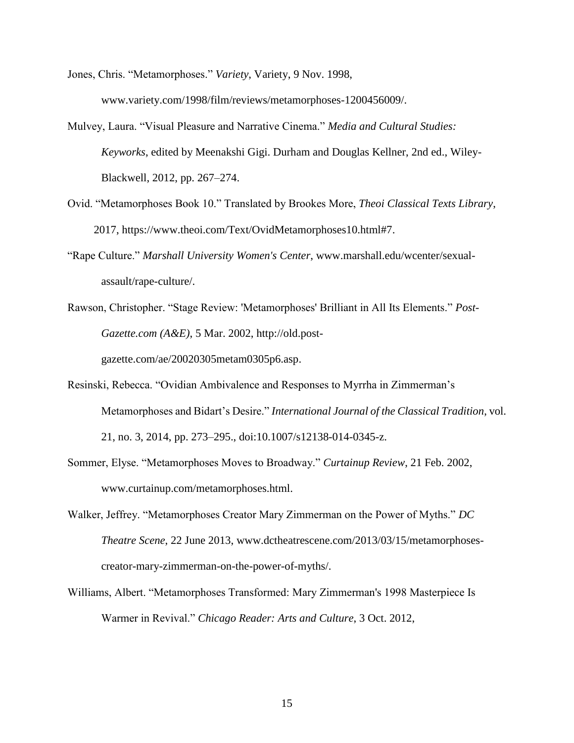Jones, Chris. "Metamorphoses." *Variety*, Variety, 9 Nov. 1998, [www.variety.com/1998/film/reviews/metamorphoses-1200456009/.](http://www.variety.com/1998/film/reviews/metamorphoses-1200456009/)

- Mulvey, Laura. "Visual Pleasure and Narrative Cinema." *Media and Cultural Studies: Keyworks*, edited by Meenakshi Gigi. Durham and Douglas Kellner, 2nd ed., Wiley-Blackwell, 2012, pp. 267–274.
- Ovid. "Metamorphoses Book 10." Translated by Brookes More, *Theoi Classical Texts Library*, 2017, [https://www.theoi.com/Text/OvidMetamorphoses10.html#7.](https://www.theoi.com/Text/OvidMetamorphoses10.html#7)
- "Rape Culture." *Marshall University Women's Center*, [www.marshall.edu/wcenter/sexual](http://www.marshall.edu/wcenter/sexual-assault/rape-culture/)[assault/rape-culture/.](http://www.marshall.edu/wcenter/sexual-assault/rape-culture/)
- Rawson, Christopher. "Stage Review: 'Metamorphoses' Brilliant in All Its Elements." *Post-Gazette.com (A&E)*, 5 Mar. 2002, [http://old.post](http://old.post-gazette.com/ae/20020305metam0305p6.asp)[gazette.com/ae/20020305metam0305p6.asp.](http://old.post-gazette.com/ae/20020305metam0305p6.asp)
- Resinski, Rebecca. "Ovidian Ambivalence and Responses to Myrrha in Zimmerman's Metamorphoses and Bidart's Desire." *International Journal of the Classical Tradition*, vol. 21, no. 3, 2014, pp. 273–295., doi:10.1007/s12138-014-0345-z.
- Sommer, Elyse. "Metamorphoses Moves to Broadway." *Curtainup Review*, 21 Feb. 2002, [www.curtainup.com/metamorphoses.html.](http://www.curtainup.com/metamorphoses.html)
- Walker, Jeffrey. "Metamorphoses Creator Mary Zimmerman on the Power of Myths." *DC Theatre Scene*, 22 June 2013, [www.dctheatrescene.com/2013/03/15/metamorphoses](http://www.dctheatrescene.com/2013/03/15/metamorphoses-creator-mary-zimmerman-on-the-power-of-myths/)[creator-mary-zimmerman-on-the-power-of-myths/.](http://www.dctheatrescene.com/2013/03/15/metamorphoses-creator-mary-zimmerman-on-the-power-of-myths/)
- Williams, Albert. "Metamorphoses Transformed: Mary Zimmerman's 1998 Masterpiece Is Warmer in Revival." *Chicago Reader: Arts and Culture*, 3 Oct. 2012,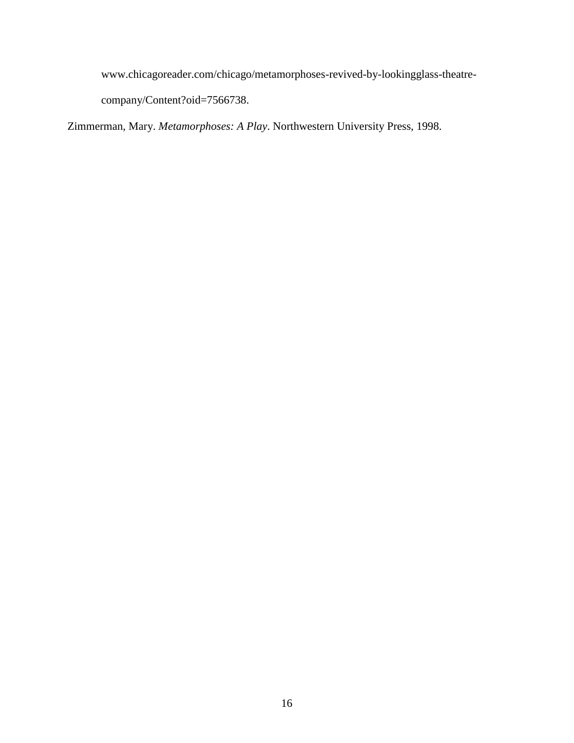[www.chicagoreader.com/chicago/metamorphoses-revived-by-lookingglass-theatre-](http://www.chicagoreader.com/chicago/metamorphoses-revived-by-lookingglass-theatre-company/Content?oid=7566738)

[company/Content?oid=7566738.](http://www.chicagoreader.com/chicago/metamorphoses-revived-by-lookingglass-theatre-company/Content?oid=7566738)

Zimmerman, Mary. *Metamorphoses: A Play*. Northwestern University Press, 1998.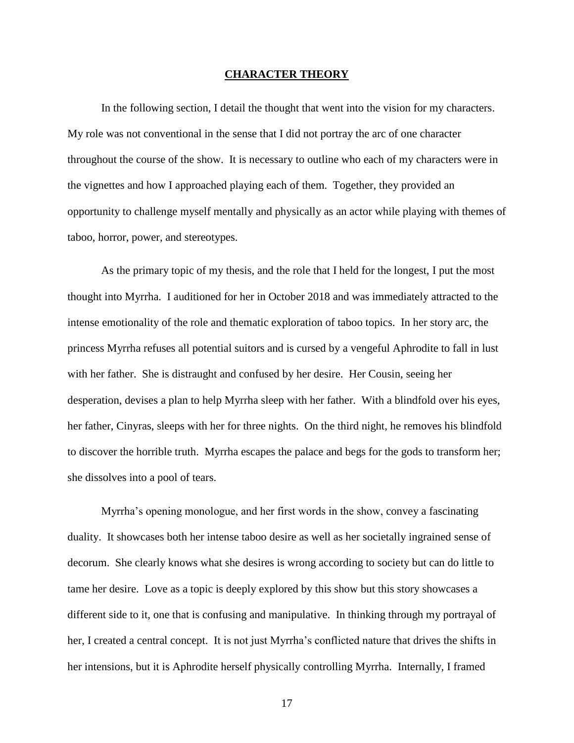#### **CHARACTER THEORY**

<span id="page-17-0"></span>In the following section, I detail the thought that went into the vision for my characters. My role was not conventional in the sense that I did not portray the arc of one character throughout the course of the show. It is necessary to outline who each of my characters were in the vignettes and how I approached playing each of them. Together, they provided an opportunity to challenge myself mentally and physically as an actor while playing with themes of taboo, horror, power, and stereotypes.

As the primary topic of my thesis, and the role that I held for the longest, I put the most thought into Myrrha. I auditioned for her in October 2018 and was immediately attracted to the intense emotionality of the role and thematic exploration of taboo topics. In her story arc, the princess Myrrha refuses all potential suitors and is cursed by a vengeful Aphrodite to fall in lust with her father. She is distraught and confused by her desire. Her Cousin, seeing her desperation, devises a plan to help Myrrha sleep with her father. With a blindfold over his eyes, her father, Cinyras, sleeps with her for three nights. On the third night, he removes his blindfold to discover the horrible truth. Myrrha escapes the palace and begs for the gods to transform her; she dissolves into a pool of tears.

Myrrha's opening monologue, and her first words in the show, convey a fascinating duality. It showcases both her intense taboo desire as well as her societally ingrained sense of decorum. She clearly knows what she desires is wrong according to society but can do little to tame her desire. Love as a topic is deeply explored by this show but this story showcases a different side to it, one that is confusing and manipulative. In thinking through my portrayal of her, I created a central concept. It is not just Myrrha's conflicted nature that drives the shifts in her intensions, but it is Aphrodite herself physically controlling Myrrha. Internally, I framed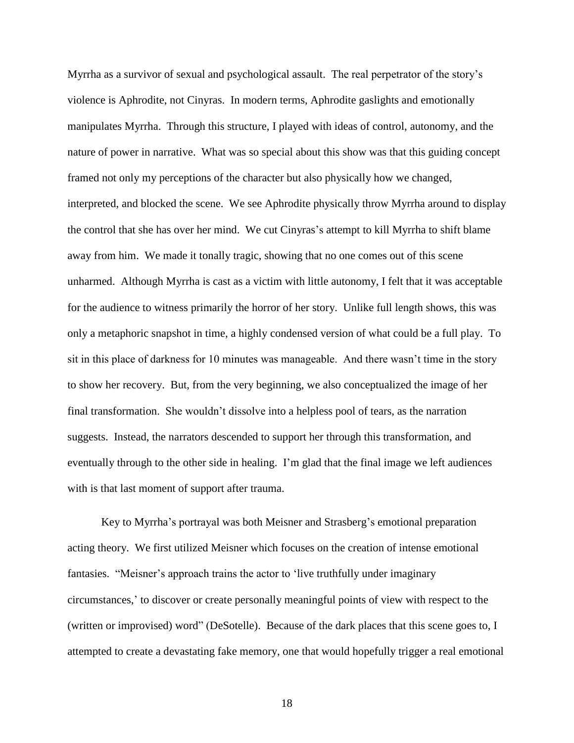Myrrha as a survivor of sexual and psychological assault. The real perpetrator of the story's violence is Aphrodite, not Cinyras. In modern terms, Aphrodite gaslights and emotionally manipulates Myrrha. Through this structure, I played with ideas of control, autonomy, and the nature of power in narrative. What was so special about this show was that this guiding concept framed not only my perceptions of the character but also physically how we changed, interpreted, and blocked the scene. We see Aphrodite physically throw Myrrha around to display the control that she has over her mind. We cut Cinyras's attempt to kill Myrrha to shift blame away from him. We made it tonally tragic, showing that no one comes out of this scene unharmed. Although Myrrha is cast as a victim with little autonomy, I felt that it was acceptable for the audience to witness primarily the horror of her story. Unlike full length shows, this was only a metaphoric snapshot in time, a highly condensed version of what could be a full play. To sit in this place of darkness for 10 minutes was manageable. And there wasn't time in the story to show her recovery. But, from the very beginning, we also conceptualized the image of her final transformation. She wouldn't dissolve into a helpless pool of tears, as the narration suggests. Instead, the narrators descended to support her through this transformation, and eventually through to the other side in healing. I'm glad that the final image we left audiences with is that last moment of support after trauma.

Key to Myrrha's portrayal was both Meisner and Strasberg's emotional preparation acting theory. We first utilized Meisner which focuses on the creation of intense emotional fantasies. "Meisner's approach trains the actor to 'live truthfully under imaginary circumstances,' to discover or create personally meaningful points of view with respect to the (written or improvised) word" (DeSotelle). Because of the dark places that this scene goes to, I attempted to create a devastating fake memory, one that would hopefully trigger a real emotional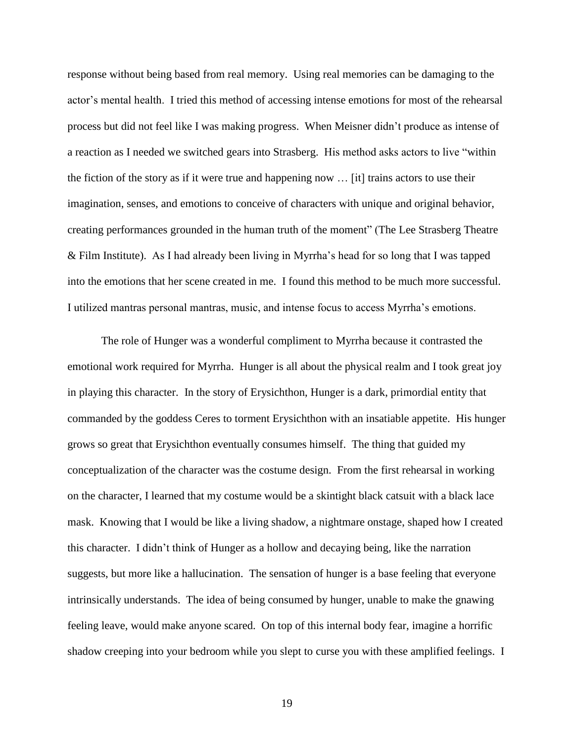response without being based from real memory. Using real memories can be damaging to the actor's mental health. I tried this method of accessing intense emotions for most of the rehearsal process but did not feel like I was making progress. When Meisner didn't produce as intense of a reaction as I needed we switched gears into Strasberg. His method asks actors to live "within the fiction of the story as if it were true and happening now … [it] trains actors to use their imagination, senses, and emotions to conceive of characters with unique and original behavior, creating performances grounded in the human truth of the moment" (The Lee Strasberg Theatre & Film Institute). As I had already been living in Myrrha's head for so long that I was tapped into the emotions that her scene created in me. I found this method to be much more successful. I utilized mantras personal mantras, music, and intense focus to access Myrrha's emotions.

The role of Hunger was a wonderful compliment to Myrrha because it contrasted the emotional work required for Myrrha. Hunger is all about the physical realm and I took great joy in playing this character. In the story of Erysichthon, Hunger is a dark, primordial entity that commanded by the goddess Ceres to torment Erysichthon with an insatiable appetite. His hunger grows so great that Erysichthon eventually consumes himself. The thing that guided my conceptualization of the character was the costume design. From the first rehearsal in working on the character, I learned that my costume would be a skintight black catsuit with a black lace mask. Knowing that I would be like a living shadow, a nightmare onstage, shaped how I created this character. I didn't think of Hunger as a hollow and decaying being, like the narration suggests, but more like a hallucination. The sensation of hunger is a base feeling that everyone intrinsically understands. The idea of being consumed by hunger, unable to make the gnawing feeling leave, would make anyone scared. On top of this internal body fear, imagine a horrific shadow creeping into your bedroom while you slept to curse you with these amplified feelings. I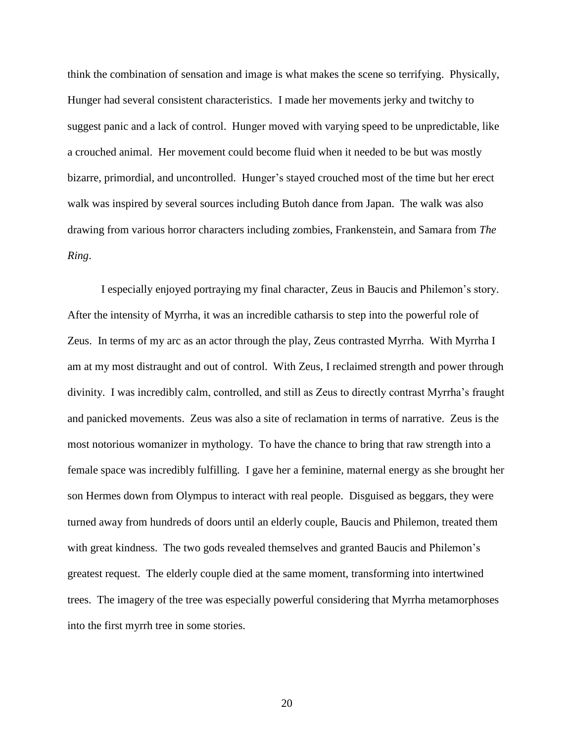think the combination of sensation and image is what makes the scene so terrifying. Physically, Hunger had several consistent characteristics. I made her movements jerky and twitchy to suggest panic and a lack of control. Hunger moved with varying speed to be unpredictable, like a crouched animal. Her movement could become fluid when it needed to be but was mostly bizarre, primordial, and uncontrolled. Hunger's stayed crouched most of the time but her erect walk was inspired by several sources including Butoh dance from Japan. The walk was also drawing from various horror characters including zombies, Frankenstein, and Samara from *The Ring*.

I especially enjoyed portraying my final character, Zeus in Baucis and Philemon's story. After the intensity of Myrrha, it was an incredible catharsis to step into the powerful role of Zeus. In terms of my arc as an actor through the play, Zeus contrasted Myrrha. With Myrrha I am at my most distraught and out of control. With Zeus, I reclaimed strength and power through divinity. I was incredibly calm, controlled, and still as Zeus to directly contrast Myrrha's fraught and panicked movements. Zeus was also a site of reclamation in terms of narrative. Zeus is the most notorious womanizer in mythology. To have the chance to bring that raw strength into a female space was incredibly fulfilling. I gave her a feminine, maternal energy as she brought her son Hermes down from Olympus to interact with real people. Disguised as beggars, they were turned away from hundreds of doors until an elderly couple, Baucis and Philemon, treated them with great kindness. The two gods revealed themselves and granted Baucis and Philemon's greatest request. The elderly couple died at the same moment, transforming into intertwined trees. The imagery of the tree was especially powerful considering that Myrrha metamorphoses into the first myrrh tree in some stories.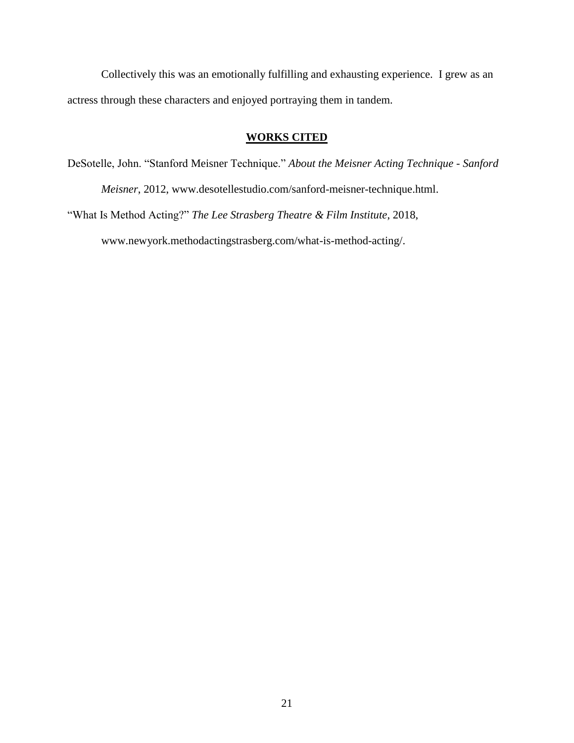Collectively this was an emotionally fulfilling and exhausting experience. I grew as an actress through these characters and enjoyed portraying them in tandem.

# **WORKS CITED**

<span id="page-21-0"></span>DeSotelle, John. "Stanford Meisner Technique." *About the Meisner Acting Technique - Sanford Meisner*, 2012, [www.desotellestudio.com/sanford-meisner-technique.html.](http://www.desotellestudio.com/sanford-meisner-technique.html)

"What Is Method Acting?" *The Lee Strasberg Theatre & Film Institute*, 2018,

[www.newyork.methodactingstrasberg.com/what-is-method-acting/.](http://www.newyork.methodactingstrasberg.com/what-is-method-acting/)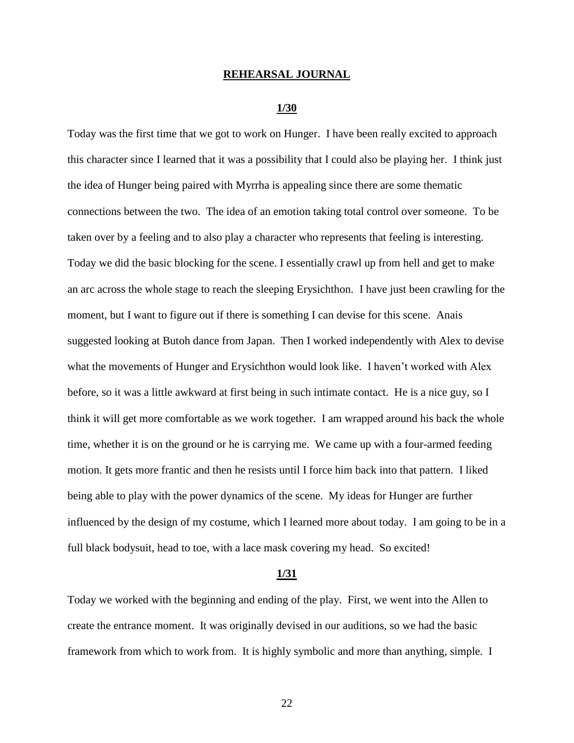# **REHEARSAL JOURNAL**

# **1/30**

<span id="page-22-0"></span>Today was the first time that we got to work on Hunger. I have been really excited to approach this character since I learned that it was a possibility that I could also be playing her. I think just the idea of Hunger being paired with Myrrha is appealing since there are some thematic connections between the two. The idea of an emotion taking total control over someone. To be taken over by a feeling and to also play a character who represents that feeling is interesting. Today we did the basic blocking for the scene. I essentially crawl up from hell and get to make an arc across the whole stage to reach the sleeping Erysichthon. I have just been crawling for the moment, but I want to figure out if there is something I can devise for this scene. Anais suggested looking at Butoh dance from Japan. Then I worked independently with Alex to devise what the movements of Hunger and Erysichthon would look like. I haven't worked with Alex before, so it was a little awkward at first being in such intimate contact. He is a nice guy, so I think it will get more comfortable as we work together. I am wrapped around his back the whole time, whether it is on the ground or he is carrying me. We came up with a four-armed feeding motion. It gets more frantic and then he resists until I force him back into that pattern. I liked being able to play with the power dynamics of the scene. My ideas for Hunger are further influenced by the design of my costume, which I learned more about today. I am going to be in a full black bodysuit, head to toe, with a lace mask covering my head. So excited!

# **1/31**

Today we worked with the beginning and ending of the play. First, we went into the Allen to create the entrance moment. It was originally devised in our auditions, so we had the basic framework from which to work from. It is highly symbolic and more than anything, simple. I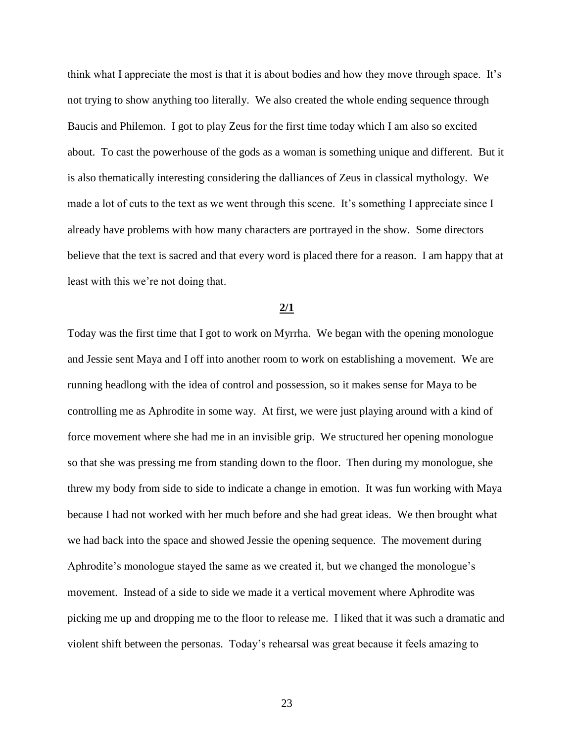think what I appreciate the most is that it is about bodies and how they move through space. It's not trying to show anything too literally. We also created the whole ending sequence through Baucis and Philemon. I got to play Zeus for the first time today which I am also so excited about. To cast the powerhouse of the gods as a woman is something unique and different. But it is also thematically interesting considering the dalliances of Zeus in classical mythology. We made a lot of cuts to the text as we went through this scene. It's something I appreciate since I already have problems with how many characters are portrayed in the show. Some directors believe that the text is sacred and that every word is placed there for a reason. I am happy that at least with this we're not doing that.

# **2/1**

Today was the first time that I got to work on Myrrha. We began with the opening monologue and Jessie sent Maya and I off into another room to work on establishing a movement. We are running headlong with the idea of control and possession, so it makes sense for Maya to be controlling me as Aphrodite in some way. At first, we were just playing around with a kind of force movement where she had me in an invisible grip. We structured her opening monologue so that she was pressing me from standing down to the floor. Then during my monologue, she threw my body from side to side to indicate a change in emotion. It was fun working with Maya because I had not worked with her much before and she had great ideas. We then brought what we had back into the space and showed Jessie the opening sequence. The movement during Aphrodite's monologue stayed the same as we created it, but we changed the monologue's movement. Instead of a side to side we made it a vertical movement where Aphrodite was picking me up and dropping me to the floor to release me. I liked that it was such a dramatic and violent shift between the personas. Today's rehearsal was great because it feels amazing to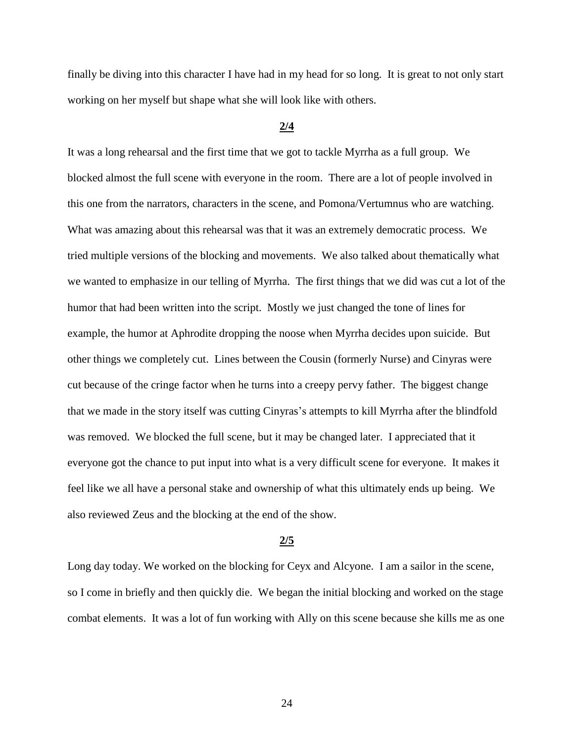finally be diving into this character I have had in my head for so long. It is great to not only start working on her myself but shape what she will look like with others.

# **2/4**

It was a long rehearsal and the first time that we got to tackle Myrrha as a full group. We blocked almost the full scene with everyone in the room. There are a lot of people involved in this one from the narrators, characters in the scene, and Pomona/Vertumnus who are watching. What was amazing about this rehearsal was that it was an extremely democratic process. We tried multiple versions of the blocking and movements. We also talked about thematically what we wanted to emphasize in our telling of Myrrha. The first things that we did was cut a lot of the humor that had been written into the script. Mostly we just changed the tone of lines for example, the humor at Aphrodite dropping the noose when Myrrha decides upon suicide. But other things we completely cut. Lines between the Cousin (formerly Nurse) and Cinyras were cut because of the cringe factor when he turns into a creepy pervy father. The biggest change that we made in the story itself was cutting Cinyras's attempts to kill Myrrha after the blindfold was removed. We blocked the full scene, but it may be changed later. I appreciated that it everyone got the chance to put input into what is a very difficult scene for everyone. It makes it feel like we all have a personal stake and ownership of what this ultimately ends up being. We also reviewed Zeus and the blocking at the end of the show.

# **2/5**

Long day today. We worked on the blocking for Ceyx and Alcyone. I am a sailor in the scene, so I come in briefly and then quickly die. We began the initial blocking and worked on the stage combat elements. It was a lot of fun working with Ally on this scene because she kills me as one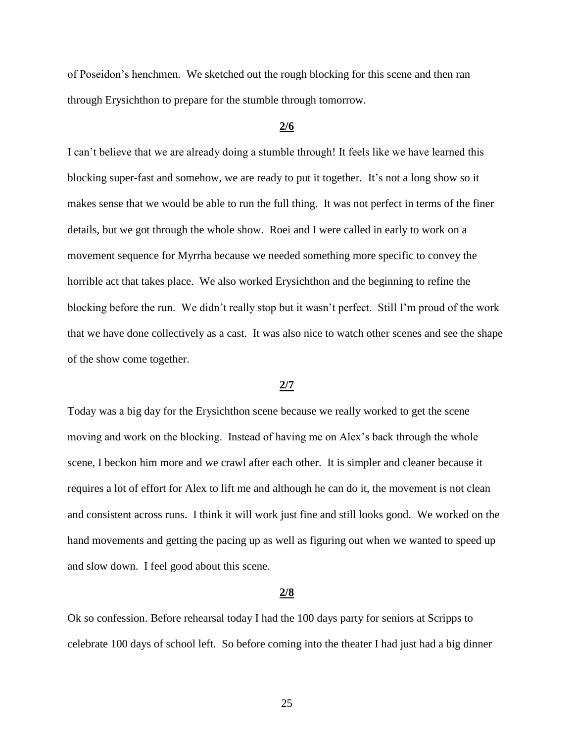of Poseidon's henchmen. We sketched out the rough blocking for this scene and then ran through Erysichthon to prepare for the stumble through tomorrow.

# **2/6**

I can't believe that we are already doing a stumble through! It feels like we have learned this blocking super-fast and somehow, we are ready to put it together. It's not a long show so it makes sense that we would be able to run the full thing. It was not perfect in terms of the finer details, but we got through the whole show. Roei and I were called in early to work on a movement sequence for Myrrha because we needed something more specific to convey the horrible act that takes place. We also worked Erysichthon and the beginning to refine the blocking before the run. We didn't really stop but it wasn't perfect. Still I'm proud of the work that we have done collectively as a cast. It was also nice to watch other scenes and see the shape of the show come together.

# **2/7**

Today was a big day for the Erysichthon scene because we really worked to get the scene moving and work on the blocking. Instead of having me on Alex's back through the whole scene, I beckon him more and we crawl after each other. It is simpler and cleaner because it requires a lot of effort for Alex to lift me and although he can do it, the movement is not clean and consistent across runs. I think it will work just fine and still looks good. We worked on the hand movements and getting the pacing up as well as figuring out when we wanted to speed up and slow down. I feel good about this scene.

# **2/8**

Ok so confession. Before rehearsal today I had the 100 days party for seniors at Scripps to celebrate 100 days of school left. So before coming into the theater I had just had a big dinner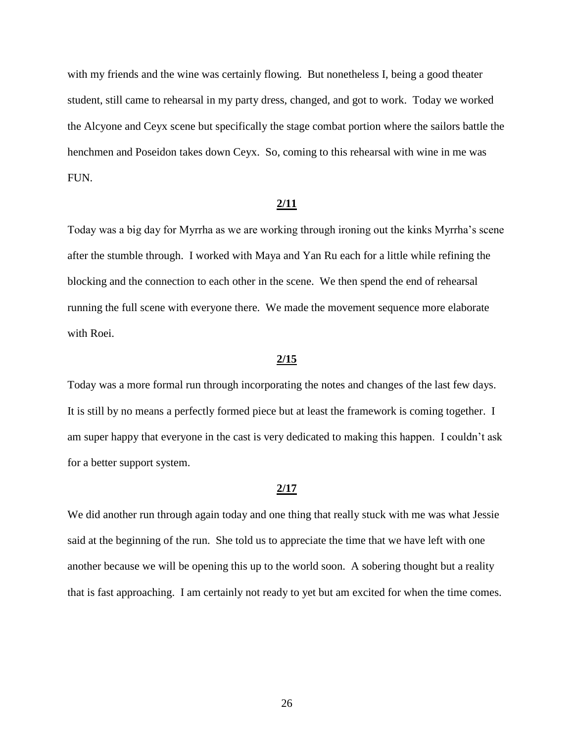with my friends and the wine was certainly flowing. But nonetheless I, being a good theater student, still came to rehearsal in my party dress, changed, and got to work. Today we worked the Alcyone and Ceyx scene but specifically the stage combat portion where the sailors battle the henchmen and Poseidon takes down Ceyx. So, coming to this rehearsal with wine in me was FUN.

# **2/11**

Today was a big day for Myrrha as we are working through ironing out the kinks Myrrha's scene after the stumble through. I worked with Maya and Yan Ru each for a little while refining the blocking and the connection to each other in the scene. We then spend the end of rehearsal running the full scene with everyone there. We made the movement sequence more elaborate with Roei.

# **2/15**

Today was a more formal run through incorporating the notes and changes of the last few days. It is still by no means a perfectly formed piece but at least the framework is coming together. I am super happy that everyone in the cast is very dedicated to making this happen. I couldn't ask for a better support system.

#### **2/17**

We did another run through again today and one thing that really stuck with me was what Jessie said at the beginning of the run. She told us to appreciate the time that we have left with one another because we will be opening this up to the world soon. A sobering thought but a reality that is fast approaching. I am certainly not ready to yet but am excited for when the time comes.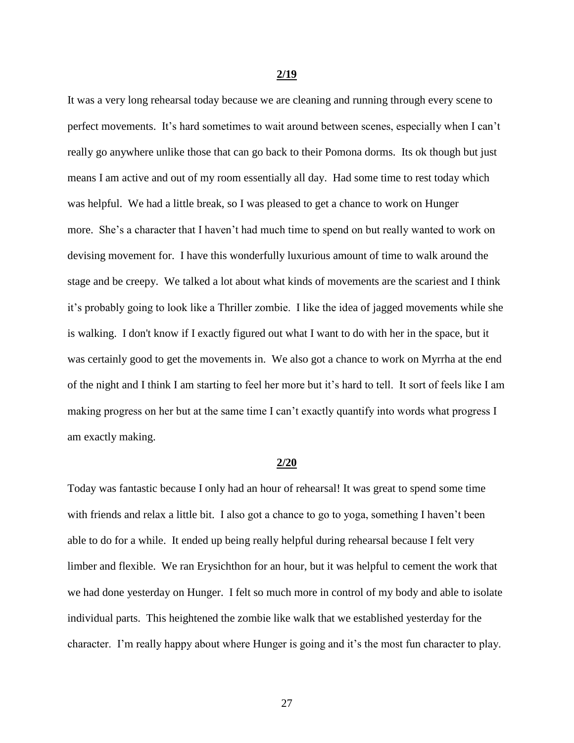### **2/19**

It was a very long rehearsal today because we are cleaning and running through every scene to perfect movements. It's hard sometimes to wait around between scenes, especially when I can't really go anywhere unlike those that can go back to their Pomona dorms. Its ok though but just means I am active and out of my room essentially all day. Had some time to rest today which was helpful. We had a little break, so I was pleased to get a chance to work on Hunger more. She's a character that I haven't had much time to spend on but really wanted to work on devising movement for. I have this wonderfully luxurious amount of time to walk around the stage and be creepy. We talked a lot about what kinds of movements are the scariest and I think it's probably going to look like a Thriller zombie. I like the idea of jagged movements while she is walking. I don't know if I exactly figured out what I want to do with her in the space, but it was certainly good to get the movements in. We also got a chance to work on Myrrha at the end of the night and I think I am starting to feel her more but it's hard to tell. It sort of feels like I am making progress on her but at the same time I can't exactly quantify into words what progress I am exactly making.

### **2/20**

Today was fantastic because I only had an hour of rehearsal! It was great to spend some time with friends and relax a little bit. I also got a chance to go to yoga, something I haven't been able to do for a while. It ended up being really helpful during rehearsal because I felt very limber and flexible. We ran Erysichthon for an hour, but it was helpful to cement the work that we had done yesterday on Hunger. I felt so much more in control of my body and able to isolate individual parts. This heightened the zombie like walk that we established yesterday for the character. I'm really happy about where Hunger is going and it's the most fun character to play.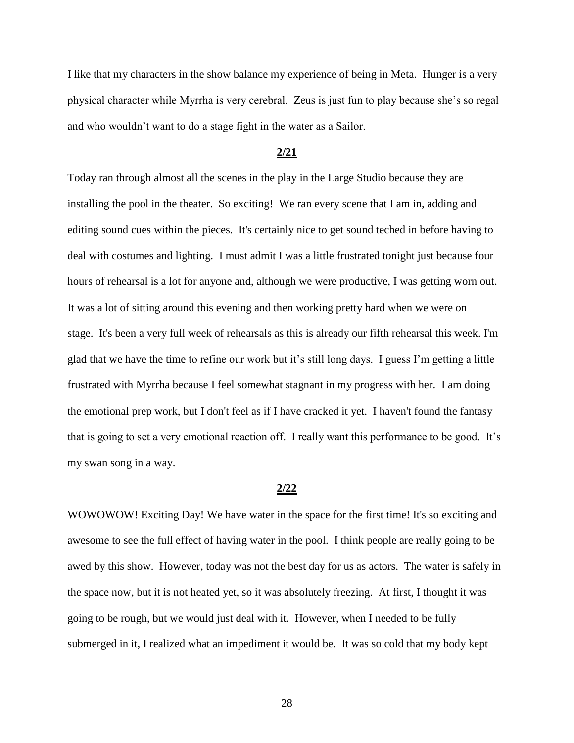I like that my characters in the show balance my experience of being in Meta. Hunger is a very physical character while Myrrha is very cerebral. Zeus is just fun to play because she's so regal and who wouldn't want to do a stage fight in the water as a Sailor.

### **2/21**

Today ran through almost all the scenes in the play in the Large Studio because they are installing the pool in the theater. So exciting! We ran every scene that I am in, adding and editing sound cues within the pieces. It's certainly nice to get sound teched in before having to deal with costumes and lighting. I must admit I was a little frustrated tonight just because four hours of rehearsal is a lot for anyone and, although we were productive, I was getting worn out. It was a lot of sitting around this evening and then working pretty hard when we were on stage. It's been a very full week of rehearsals as this is already our fifth rehearsal this week. I'm glad that we have the time to refine our work but it's still long days. I guess I'm getting a little frustrated with Myrrha because I feel somewhat stagnant in my progress with her. I am doing the emotional prep work, but I don't feel as if I have cracked it yet. I haven't found the fantasy that is going to set a very emotional reaction off. I really want this performance to be good. It's my swan song in a way.

### **2/22**

WOWOWOW! Exciting Day! We have water in the space for the first time! It's so exciting and awesome to see the full effect of having water in the pool. I think people are really going to be awed by this show. However, today was not the best day for us as actors. The water is safely in the space now, but it is not heated yet, so it was absolutely freezing. At first, I thought it was going to be rough, but we would just deal with it. However, when I needed to be fully submerged in it, I realized what an impediment it would be. It was so cold that my body kept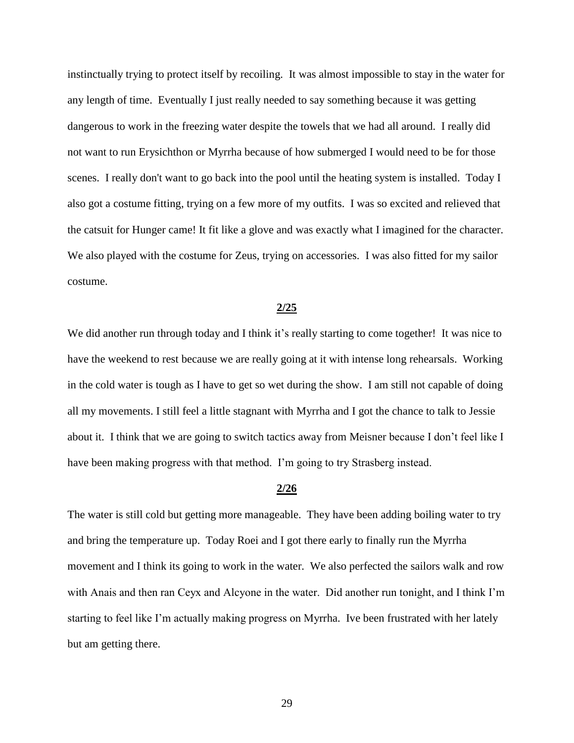instinctually trying to protect itself by recoiling. It was almost impossible to stay in the water for any length of time. Eventually I just really needed to say something because it was getting dangerous to work in the freezing water despite the towels that we had all around. I really did not want to run Erysichthon or Myrrha because of how submerged I would need to be for those scenes. I really don't want to go back into the pool until the heating system is installed. Today I also got a costume fitting, trying on a few more of my outfits. I was so excited and relieved that the catsuit for Hunger came! It fit like a glove and was exactly what I imagined for the character. We also played with the costume for Zeus, trying on accessories. I was also fitted for my sailor costume.

# **2/25**

We did another run through today and I think it's really starting to come together! It was nice to have the weekend to rest because we are really going at it with intense long rehearsals. Working in the cold water is tough as I have to get so wet during the show. I am still not capable of doing all my movements. I still feel a little stagnant with Myrrha and I got the chance to talk to Jessie about it. I think that we are going to switch tactics away from Meisner because I don't feel like I have been making progress with that method. I'm going to try Strasberg instead.

# **2/26**

The water is still cold but getting more manageable. They have been adding boiling water to try and bring the temperature up. Today Roei and I got there early to finally run the Myrrha movement and I think its going to work in the water. We also perfected the sailors walk and row with Anais and then ran Ceyx and Alcyone in the water. Did another run tonight, and I think I'm starting to feel like I'm actually making progress on Myrrha. Ive been frustrated with her lately but am getting there.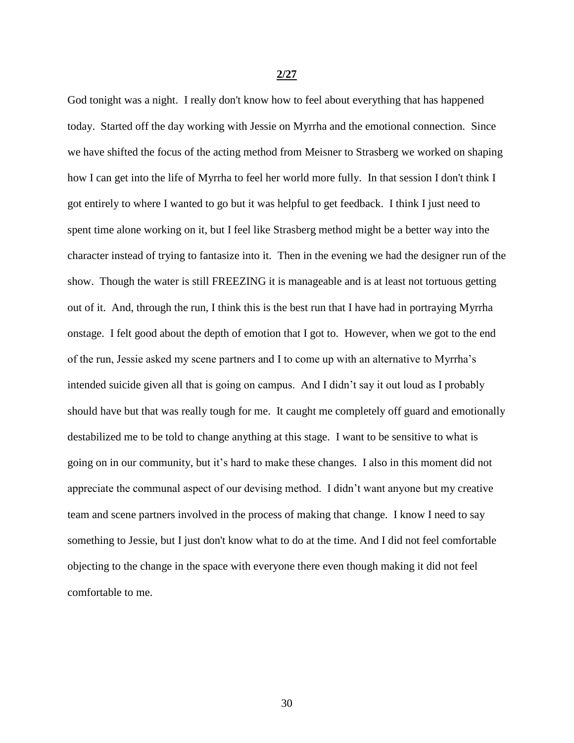### **2/27**

God tonight was a night. I really don't know how to feel about everything that has happened today. Started off the day working with Jessie on Myrrha and the emotional connection. Since we have shifted the focus of the acting method from Meisner to Strasberg we worked on shaping how I can get into the life of Myrrha to feel her world more fully. In that session I don't think I got entirely to where I wanted to go but it was helpful to get feedback. I think I just need to spent time alone working on it, but I feel like Strasberg method might be a better way into the character instead of trying to fantasize into it. Then in the evening we had the designer run of the show. Though the water is still FREEZING it is manageable and is at least not tortuous getting out of it. And, through the run, I think this is the best run that I have had in portraying Myrrha onstage. I felt good about the depth of emotion that I got to. However, when we got to the end of the run, Jessie asked my scene partners and I to come up with an alternative to Myrrha's intended suicide given all that is going on campus. And I didn't say it out loud as I probably should have but that was really tough for me. It caught me completely off guard and emotionally destabilized me to be told to change anything at this stage. I want to be sensitive to what is going on in our community, but it's hard to make these changes. I also in this moment did not appreciate the communal aspect of our devising method. I didn't want anyone but my creative team and scene partners involved in the process of making that change. I know I need to say something to Jessie, but I just don't know what to do at the time. And I did not feel comfortable objecting to the change in the space with everyone there even though making it did not feel comfortable to me.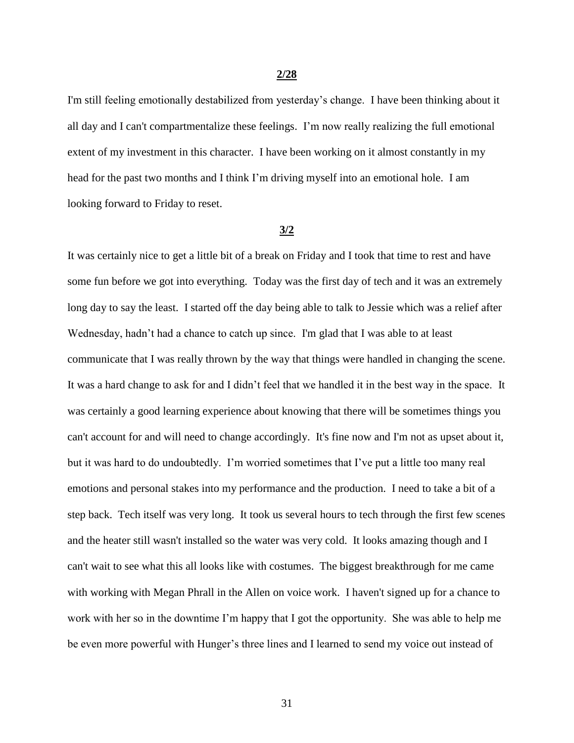# **2/28**

I'm still feeling emotionally destabilized from yesterday's change. I have been thinking about it all day and I can't compartmentalize these feelings. I'm now really realizing the full emotional extent of my investment in this character. I have been working on it almost constantly in my head for the past two months and I think I'm driving myself into an emotional hole. I am looking forward to Friday to reset.

# **3/2**

It was certainly nice to get a little bit of a break on Friday and I took that time to rest and have some fun before we got into everything. Today was the first day of tech and it was an extremely long day to say the least. I started off the day being able to talk to Jessie which was a relief after Wednesday, hadn't had a chance to catch up since. I'm glad that I was able to at least communicate that I was really thrown by the way that things were handled in changing the scene. It was a hard change to ask for and I didn't feel that we handled it in the best way in the space. It was certainly a good learning experience about knowing that there will be sometimes things you can't account for and will need to change accordingly. It's fine now and I'm not as upset about it, but it was hard to do undoubtedly. I'm worried sometimes that I've put a little too many real emotions and personal stakes into my performance and the production. I need to take a bit of a step back. Tech itself was very long. It took us several hours to tech through the first few scenes and the heater still wasn't installed so the water was very cold. It looks amazing though and I can't wait to see what this all looks like with costumes. The biggest breakthrough for me came with working with Megan Phrall in the Allen on voice work. I haven't signed up for a chance to work with her so in the downtime I'm happy that I got the opportunity. She was able to help me be even more powerful with Hunger's three lines and I learned to send my voice out instead of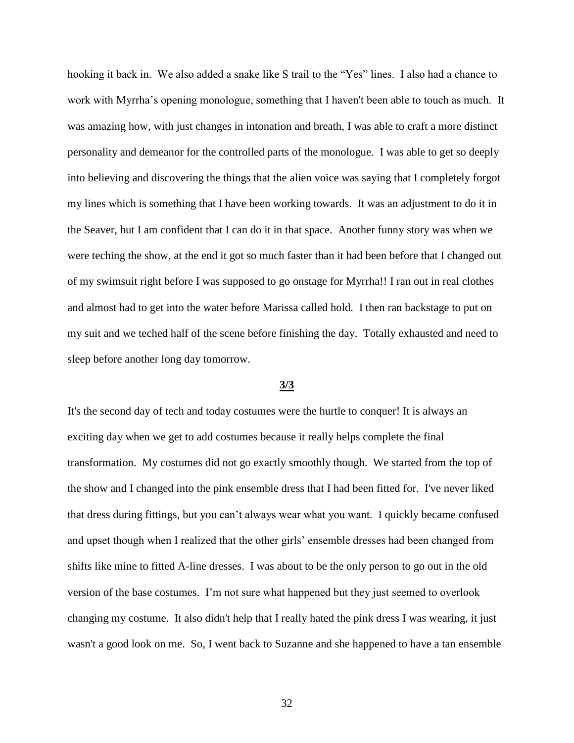hooking it back in. We also added a snake like S trail to the "Yes" lines. I also had a chance to work with Myrrha's opening monologue, something that I haven't been able to touch as much. It was amazing how, with just changes in intonation and breath, I was able to craft a more distinct personality and demeanor for the controlled parts of the monologue. I was able to get so deeply into believing and discovering the things that the alien voice was saying that I completely forgot my lines which is something that I have been working towards. It was an adjustment to do it in the Seaver, but I am confident that I can do it in that space. Another funny story was when we were teching the show, at the end it got so much faster than it had been before that I changed out of my swimsuit right before I was supposed to go onstage for Myrrha!! I ran out in real clothes and almost had to get into the water before Marissa called hold. I then ran backstage to put on my suit and we teched half of the scene before finishing the day. Totally exhausted and need to sleep before another long day tomorrow.

#### **3/3**

It's the second day of tech and today costumes were the hurtle to conquer! It is always an exciting day when we get to add costumes because it really helps complete the final transformation. My costumes did not go exactly smoothly though. We started from the top of the show and I changed into the pink ensemble dress that I had been fitted for. I've never liked that dress during fittings, but you can't always wear what you want. I quickly became confused and upset though when I realized that the other girls' ensemble dresses had been changed from shifts like mine to fitted A-line dresses. I was about to be the only person to go out in the old version of the base costumes. I'm not sure what happened but they just seemed to overlook changing my costume. It also didn't help that I really hated the pink dress I was wearing, it just wasn't a good look on me. So, I went back to Suzanne and she happened to have a tan ensemble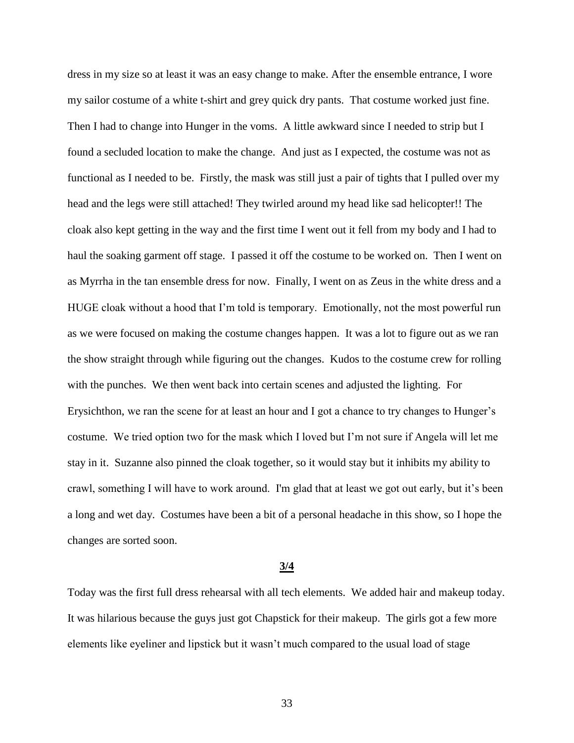dress in my size so at least it was an easy change to make. After the ensemble entrance, I wore my sailor costume of a white t-shirt and grey quick dry pants. That costume worked just fine. Then I had to change into Hunger in the voms. A little awkward since I needed to strip but I found a secluded location to make the change. And just as I expected, the costume was not as functional as I needed to be. Firstly, the mask was still just a pair of tights that I pulled over my head and the legs were still attached! They twirled around my head like sad helicopter!! The cloak also kept getting in the way and the first time I went out it fell from my body and I had to haul the soaking garment off stage. I passed it off the costume to be worked on. Then I went on as Myrrha in the tan ensemble dress for now. Finally, I went on as Zeus in the white dress and a HUGE cloak without a hood that I'm told is temporary. Emotionally, not the most powerful run as we were focused on making the costume changes happen. It was a lot to figure out as we ran the show straight through while figuring out the changes. Kudos to the costume crew for rolling with the punches. We then went back into certain scenes and adjusted the lighting. For Erysichthon, we ran the scene for at least an hour and I got a chance to try changes to Hunger's costume. We tried option two for the mask which I loved but I'm not sure if Angela will let me stay in it. Suzanne also pinned the cloak together, so it would stay but it inhibits my ability to crawl, something I will have to work around. I'm glad that at least we got out early, but it's been a long and wet day. Costumes have been a bit of a personal headache in this show, so I hope the changes are sorted soon.

# **3/4**

Today was the first full dress rehearsal with all tech elements. We added hair and makeup today. It was hilarious because the guys just got Chapstick for their makeup. The girls got a few more elements like eyeliner and lipstick but it wasn't much compared to the usual load of stage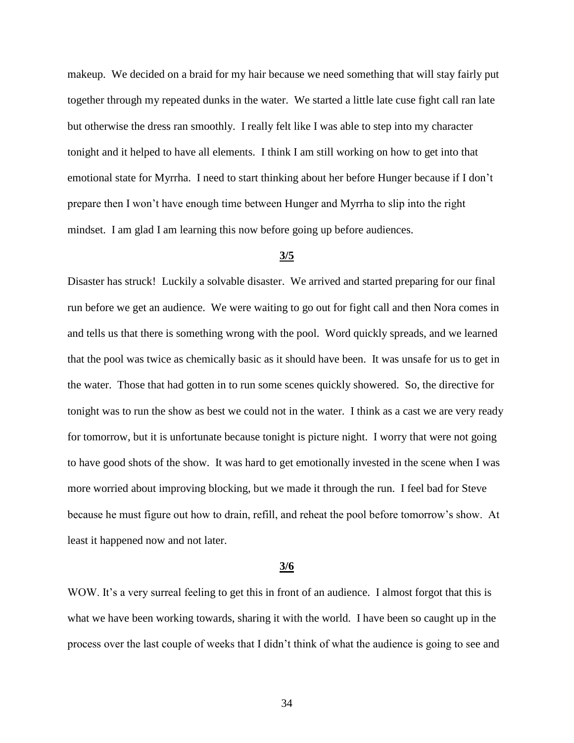makeup. We decided on a braid for my hair because we need something that will stay fairly put together through my repeated dunks in the water. We started a little late cuse fight call ran late but otherwise the dress ran smoothly. I really felt like I was able to step into my character tonight and it helped to have all elements. I think I am still working on how to get into that emotional state for Myrrha. I need to start thinking about her before Hunger because if I don't prepare then I won't have enough time between Hunger and Myrrha to slip into the right mindset. I am glad I am learning this now before going up before audiences.

# **3/5**

Disaster has struck! Luckily a solvable disaster. We arrived and started preparing for our final run before we get an audience. We were waiting to go out for fight call and then Nora comes in and tells us that there is something wrong with the pool. Word quickly spreads, and we learned that the pool was twice as chemically basic as it should have been. It was unsafe for us to get in the water. Those that had gotten in to run some scenes quickly showered. So, the directive for tonight was to run the show as best we could not in the water. I think as a cast we are very ready for tomorrow, but it is unfortunate because tonight is picture night. I worry that were not going to have good shots of the show. It was hard to get emotionally invested in the scene when I was more worried about improving blocking, but we made it through the run. I feel bad for Steve because he must figure out how to drain, refill, and reheat the pool before tomorrow's show. At least it happened now and not later.

# **3/6**

WOW. It's a very surreal feeling to get this in front of an audience. I almost forgot that this is what we have been working towards, sharing it with the world. I have been so caught up in the process over the last couple of weeks that I didn't think of what the audience is going to see and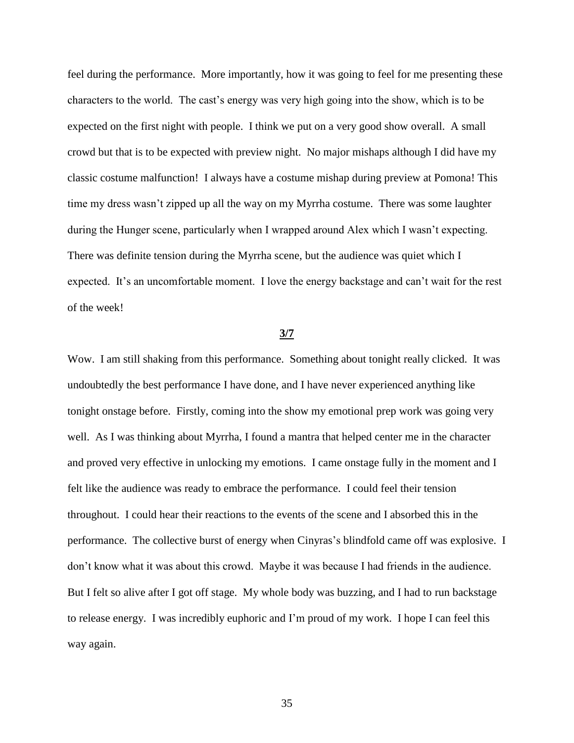feel during the performance. More importantly, how it was going to feel for me presenting these characters to the world. The cast's energy was very high going into the show, which is to be expected on the first night with people. I think we put on a very good show overall. A small crowd but that is to be expected with preview night. No major mishaps although I did have my classic costume malfunction! I always have a costume mishap during preview at Pomona! This time my dress wasn't zipped up all the way on my Myrrha costume. There was some laughter during the Hunger scene, particularly when I wrapped around Alex which I wasn't expecting. There was definite tension during the Myrrha scene, but the audience was quiet which I expected. It's an uncomfortable moment. I love the energy backstage and can't wait for the rest of the week!

# **3/7**

Wow. I am still shaking from this performance. Something about tonight really clicked. It was undoubtedly the best performance I have done, and I have never experienced anything like tonight onstage before. Firstly, coming into the show my emotional prep work was going very well. As I was thinking about Myrrha, I found a mantra that helped center me in the character and proved very effective in unlocking my emotions. I came onstage fully in the moment and I felt like the audience was ready to embrace the performance. I could feel their tension throughout. I could hear their reactions to the events of the scene and I absorbed this in the performance. The collective burst of energy when Cinyras's blindfold came off was explosive. I don't know what it was about this crowd. Maybe it was because I had friends in the audience. But I felt so alive after I got off stage. My whole body was buzzing, and I had to run backstage to release energy. I was incredibly euphoric and I'm proud of my work. I hope I can feel this way again.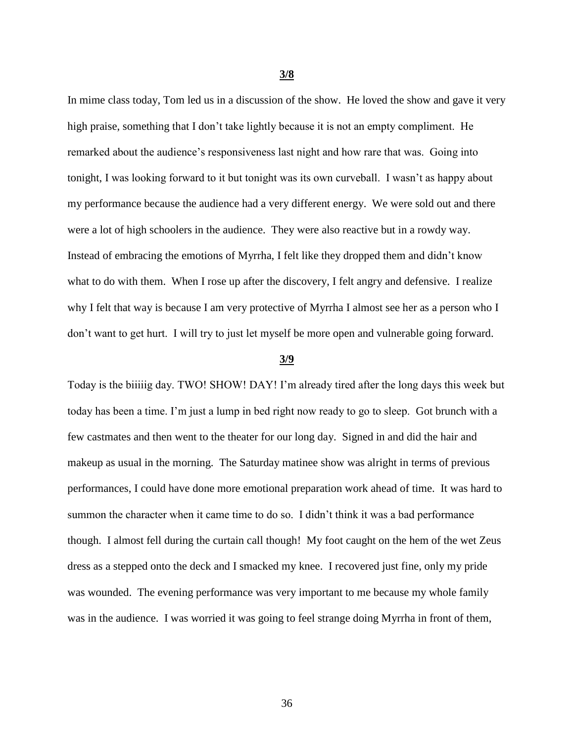**3/8**

In mime class today, Tom led us in a discussion of the show. He loved the show and gave it very high praise, something that I don't take lightly because it is not an empty compliment. He remarked about the audience's responsiveness last night and how rare that was. Going into tonight, I was looking forward to it but tonight was its own curveball. I wasn't as happy about my performance because the audience had a very different energy. We were sold out and there were a lot of high schoolers in the audience. They were also reactive but in a rowdy way. Instead of embracing the emotions of Myrrha, I felt like they dropped them and didn't know what to do with them. When I rose up after the discovery, I felt angry and defensive. I realize why I felt that way is because I am very protective of Myrrha I almost see her as a person who I don't want to get hurt. I will try to just let myself be more open and vulnerable going forward.

#### **3/9**

Today is the biiiiig day. TWO! SHOW! DAY! I'm already tired after the long days this week but today has been a time. I'm just a lump in bed right now ready to go to sleep. Got brunch with a few castmates and then went to the theater for our long day. Signed in and did the hair and makeup as usual in the morning. The Saturday matinee show was alright in terms of previous performances, I could have done more emotional preparation work ahead of time. It was hard to summon the character when it came time to do so. I didn't think it was a bad performance though. I almost fell during the curtain call though! My foot caught on the hem of the wet Zeus dress as a stepped onto the deck and I smacked my knee. I recovered just fine, only my pride was wounded. The evening performance was very important to me because my whole family was in the audience. I was worried it was going to feel strange doing Myrrha in front of them,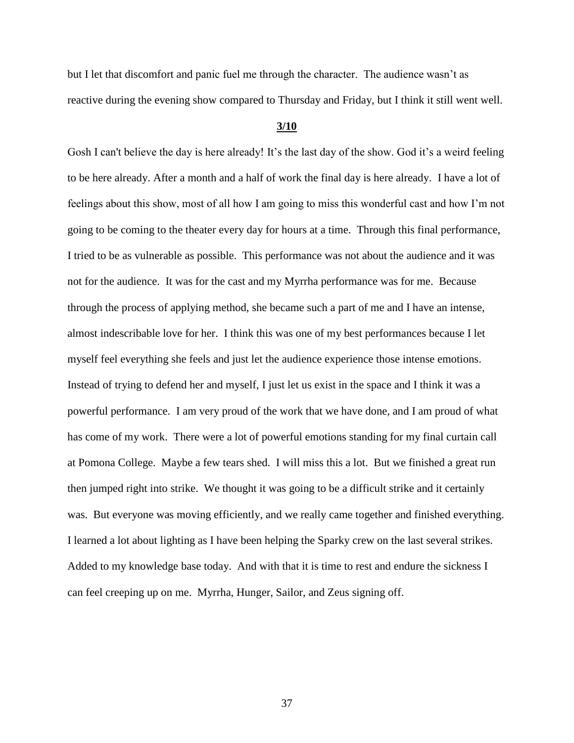but I let that discomfort and panic fuel me through the character. The audience wasn't as reactive during the evening show compared to Thursday and Friday, but I think it still went well.

# **3/10**

Gosh I can't believe the day is here already! It's the last day of the show. God it's a weird feeling to be here already. After a month and a half of work the final day is here already. I have a lot of feelings about this show, most of all how I am going to miss this wonderful cast and how I'm not going to be coming to the theater every day for hours at a time. Through this final performance, I tried to be as vulnerable as possible. This performance was not about the audience and it was not for the audience. It was for the cast and my Myrrha performance was for me. Because through the process of applying method, she became such a part of me and I have an intense, almost indescribable love for her. I think this was one of my best performances because I let myself feel everything she feels and just let the audience experience those intense emotions. Instead of trying to defend her and myself, I just let us exist in the space and I think it was a powerful performance. I am very proud of the work that we have done, and I am proud of what has come of my work. There were a lot of powerful emotions standing for my final curtain call at Pomona College. Maybe a few tears shed. I will miss this a lot. But we finished a great run then jumped right into strike. We thought it was going to be a difficult strike and it certainly was. But everyone was moving efficiently, and we really came together and finished everything. I learned a lot about lighting as I have been helping the Sparky crew on the last several strikes. Added to my knowledge base today. And with that it is time to rest and endure the sickness I can feel creeping up on me. Myrrha, Hunger, Sailor, and Zeus signing off.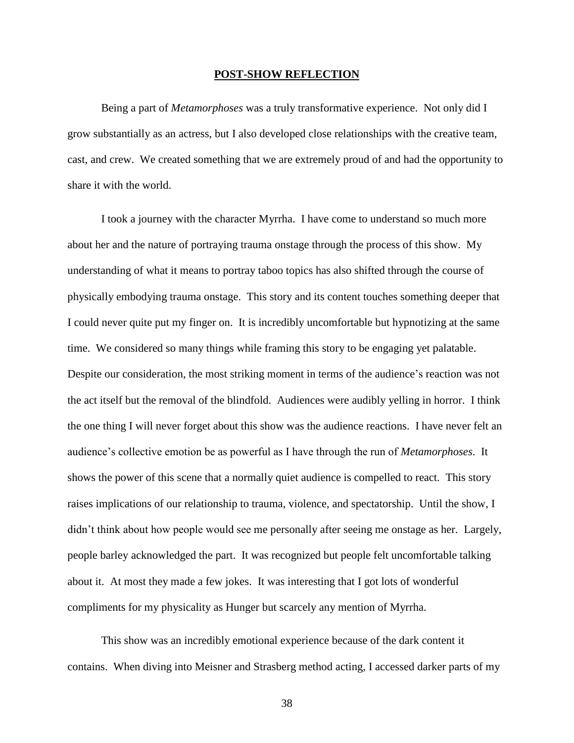#### **POST-SHOW REFLECTION**

<span id="page-38-0"></span>Being a part of *Metamorphoses* was a truly transformative experience. Not only did I grow substantially as an actress, but I also developed close relationships with the creative team, cast, and crew. We created something that we are extremely proud of and had the opportunity to share it with the world.

I took a journey with the character Myrrha. I have come to understand so much more about her and the nature of portraying trauma onstage through the process of this show. My understanding of what it means to portray taboo topics has also shifted through the course of physically embodying trauma onstage. This story and its content touches something deeper that I could never quite put my finger on. It is incredibly uncomfortable but hypnotizing at the same time. We considered so many things while framing this story to be engaging yet palatable. Despite our consideration, the most striking moment in terms of the audience's reaction was not the act itself but the removal of the blindfold. Audiences were audibly yelling in horror. I think the one thing I will never forget about this show was the audience reactions. I have never felt an audience's collective emotion be as powerful as I have through the run of *Metamorphoses*. It shows the power of this scene that a normally quiet audience is compelled to react. This story raises implications of our relationship to trauma, violence, and spectatorship. Until the show, I didn't think about how people would see me personally after seeing me onstage as her. Largely, people barley acknowledged the part. It was recognized but people felt uncomfortable talking about it. At most they made a few jokes. It was interesting that I got lots of wonderful compliments for my physicality as Hunger but scarcely any mention of Myrrha.

This show was an incredibly emotional experience because of the dark content it contains. When diving into Meisner and Strasberg method acting, I accessed darker parts of my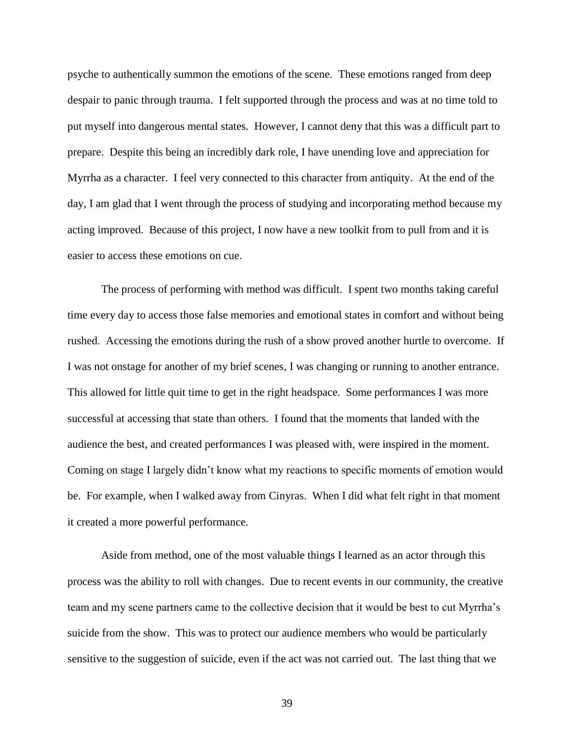psyche to authentically summon the emotions of the scene. These emotions ranged from deep despair to panic through trauma. I felt supported through the process and was at no time told to put myself into dangerous mental states. However, I cannot deny that this was a difficult part to prepare. Despite this being an incredibly dark role, I have unending love and appreciation for Myrrha as a character. I feel very connected to this character from antiquity. At the end of the day, I am glad that I went through the process of studying and incorporating method because my acting improved. Because of this project, I now have a new toolkit from to pull from and it is easier to access these emotions on cue.

The process of performing with method was difficult. I spent two months taking careful time every day to access those false memories and emotional states in comfort and without being rushed. Accessing the emotions during the rush of a show proved another hurtle to overcome. If I was not onstage for another of my brief scenes, I was changing or running to another entrance. This allowed for little quit time to get in the right headspace. Some performances I was more successful at accessing that state than others. I found that the moments that landed with the audience the best, and created performances I was pleased with, were inspired in the moment. Coming on stage I largely didn't know what my reactions to specific moments of emotion would be. For example, when I walked away from Cinyras. When I did what felt right in that moment it created a more powerful performance.

Aside from method, one of the most valuable things I learned as an actor through this process was the ability to roll with changes. Due to recent events in our community, the creative team and my scene partners came to the collective decision that it would be best to cut Myrrha's suicide from the show. This was to protect our audience members who would be particularly sensitive to the suggestion of suicide, even if the act was not carried out. The last thing that we